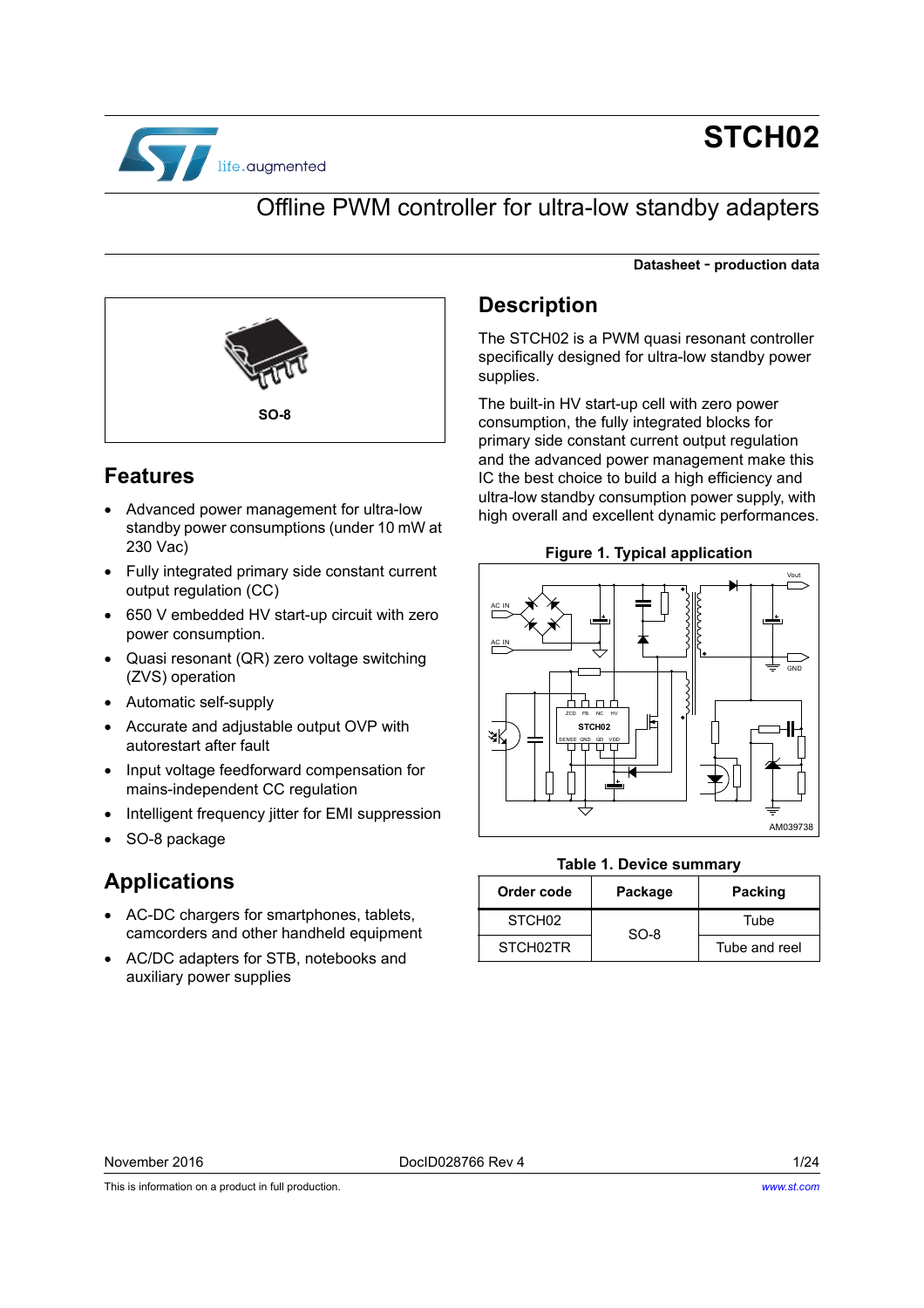

# **STCH02**

**Datasheet** - **production data**

## Offline PWM controller for ultra-low standby adapters



## **Features**

- Advanced power management for ultra-low standby power consumptions (under 10 mW at 230 Vac)
- Fully integrated primary side constant current output regulation (CC)
- 650 V embedded HV start-up circuit with zero power consumption.
- Quasi resonant (QR) zero voltage switching (ZVS) operation
- Automatic self-supply
- Accurate and adjustable output OVP with autorestart after fault
- Input voltage feedforward compensation for mains-independent CC regulation
- Intelligent frequency jitter for EMI suppression
- SO-8 package

## **Applications**

- AC-DC chargers for smartphones, tablets, camcorders and other handheld equipment
- AC/DC adapters for STB, notebooks and auxiliary power supplies

## **Description**

The STCH02 is a PWM quasi resonant controller specifically designed for ultra-low standby power supplies.

The built-in HV start-up cell with zero power consumption, the fully integrated blocks for primary side constant current output regulation and the advanced power management make this IC the best choice to build a high efficiency and ultra-low standby consumption power supply, with high overall and excellent dynamic performances.

**Figure 1. Typical application**



#### **Table 1. Device summary**

| Order code         | Package | <b>Packing</b> |
|--------------------|---------|----------------|
| STCH <sub>02</sub> |         | Tube           |
| STCH02TR           | $SO-8$  |                |

This is information on a product in full production.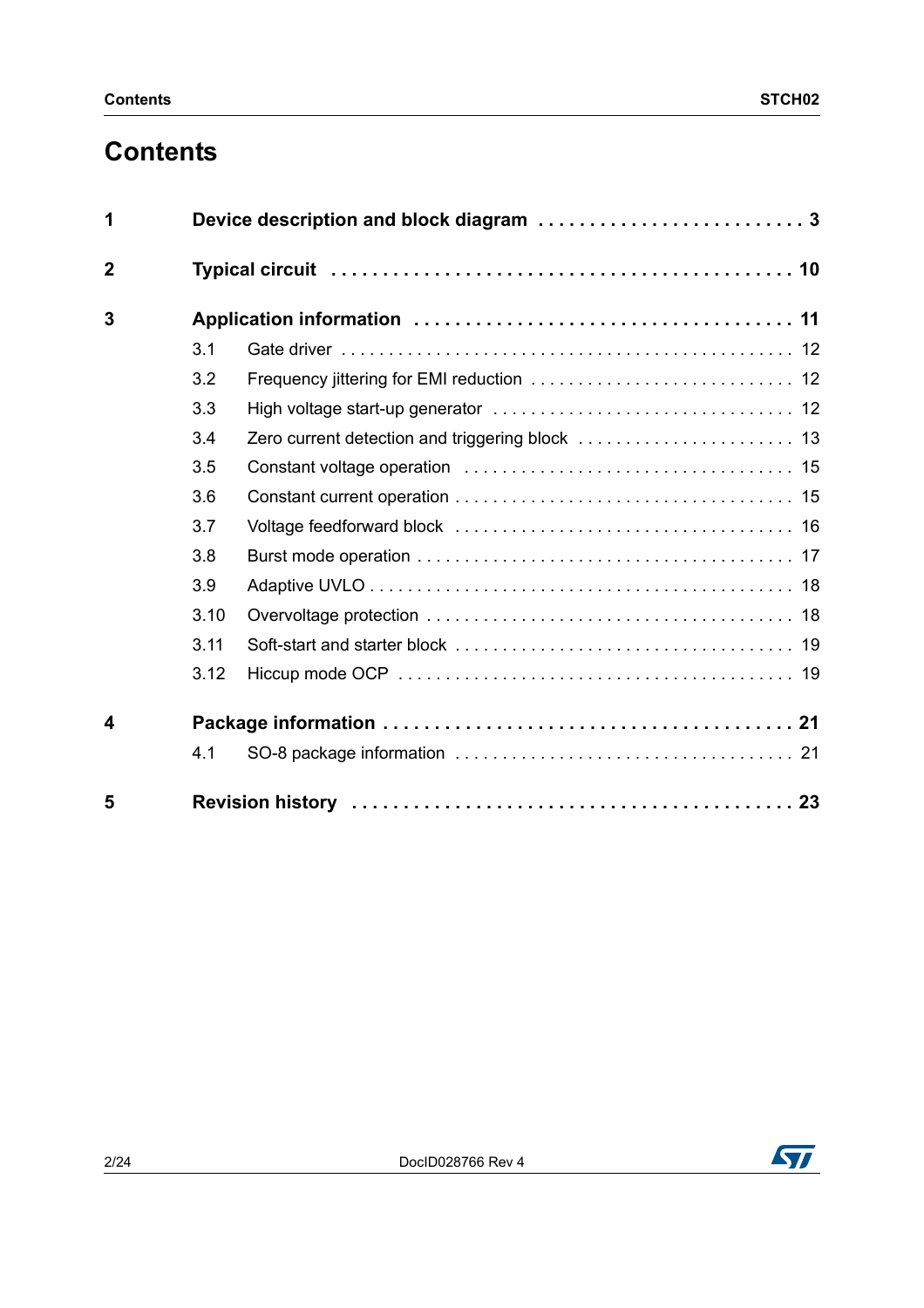# **Contents**

| 1                       |      |  |
|-------------------------|------|--|
| $\overline{2}$          |      |  |
| 3                       |      |  |
|                         | 3.1  |  |
|                         | 3.2  |  |
|                         | 3.3  |  |
|                         | 3.4  |  |
|                         | 3.5  |  |
|                         | 3.6  |  |
|                         | 3.7  |  |
|                         | 3.8  |  |
|                         | 3.9  |  |
|                         | 3.10 |  |
|                         | 3.11 |  |
|                         | 3.12 |  |
| $\overline{\mathbf{4}}$ |      |  |
|                         | 4.1  |  |
| 5                       |      |  |

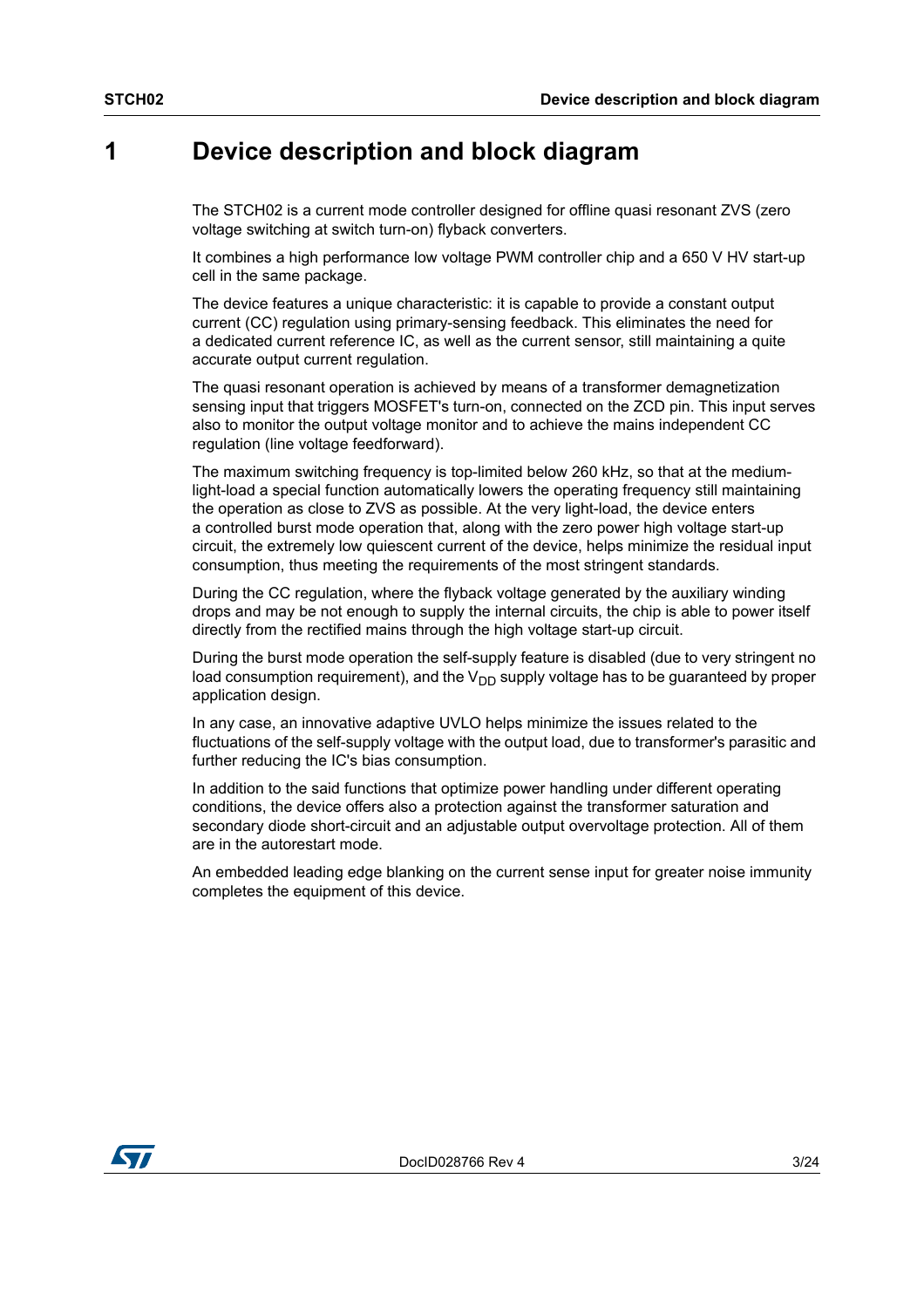## <span id="page-2-0"></span>**1 Device description and block diagram**

The STCH02 is a current mode controller designed for offline quasi resonant ZVS (zero voltage switching at switch turn-on) flyback converters.

It combines a high performance low voltage PWM controller chip and a 650 V HV start-up cell in the same package.

The device features a unique characteristic: it is capable to provide a constant output current (CC) regulation using primary-sensing feedback. This eliminates the need for a dedicated current reference IC, as well as the current sensor, still maintaining a quite accurate output current regulation.

The quasi resonant operation is achieved by means of a transformer demagnetization sensing input that triggers MOSFET's turn-on, connected on the ZCD pin. This input serves also to monitor the output voltage monitor and to achieve the mains independent CC regulation (line voltage feedforward).

The maximum switching frequency is top-limited below 260 kHz, so that at the mediumlight-load a special function automatically lowers the operating frequency still maintaining the operation as close to ZVS as possible. At the very light-load, the device enters a controlled burst mode operation that, along with the zero power high voltage start-up circuit, the extremely low quiescent current of the device, helps minimize the residual input consumption, thus meeting the requirements of the most stringent standards.

During the CC regulation, where the flyback voltage generated by the auxiliary winding drops and may be not enough to supply the internal circuits, the chip is able to power itself directly from the rectified mains through the high voltage start-up circuit.

During the burst mode operation the self-supply feature is disabled (due to very stringent no load consumption requirement), and the  $V_{DD}$  supply voltage has to be guaranteed by proper application design.

In any case, an innovative adaptive UVLO helps minimize the issues related to the fluctuations of the self-supply voltage with the output load, due to transformer's parasitic and further reducing the IC's bias consumption.

In addition to the said functions that optimize power handling under different operating conditions, the device offers also a protection against the transformer saturation and secondary diode short-circuit and an adjustable output overvoltage protection. All of them are in the autorestart mode.

An embedded leading edge blanking on the current sense input for greater noise immunity completes the equipment of this device.

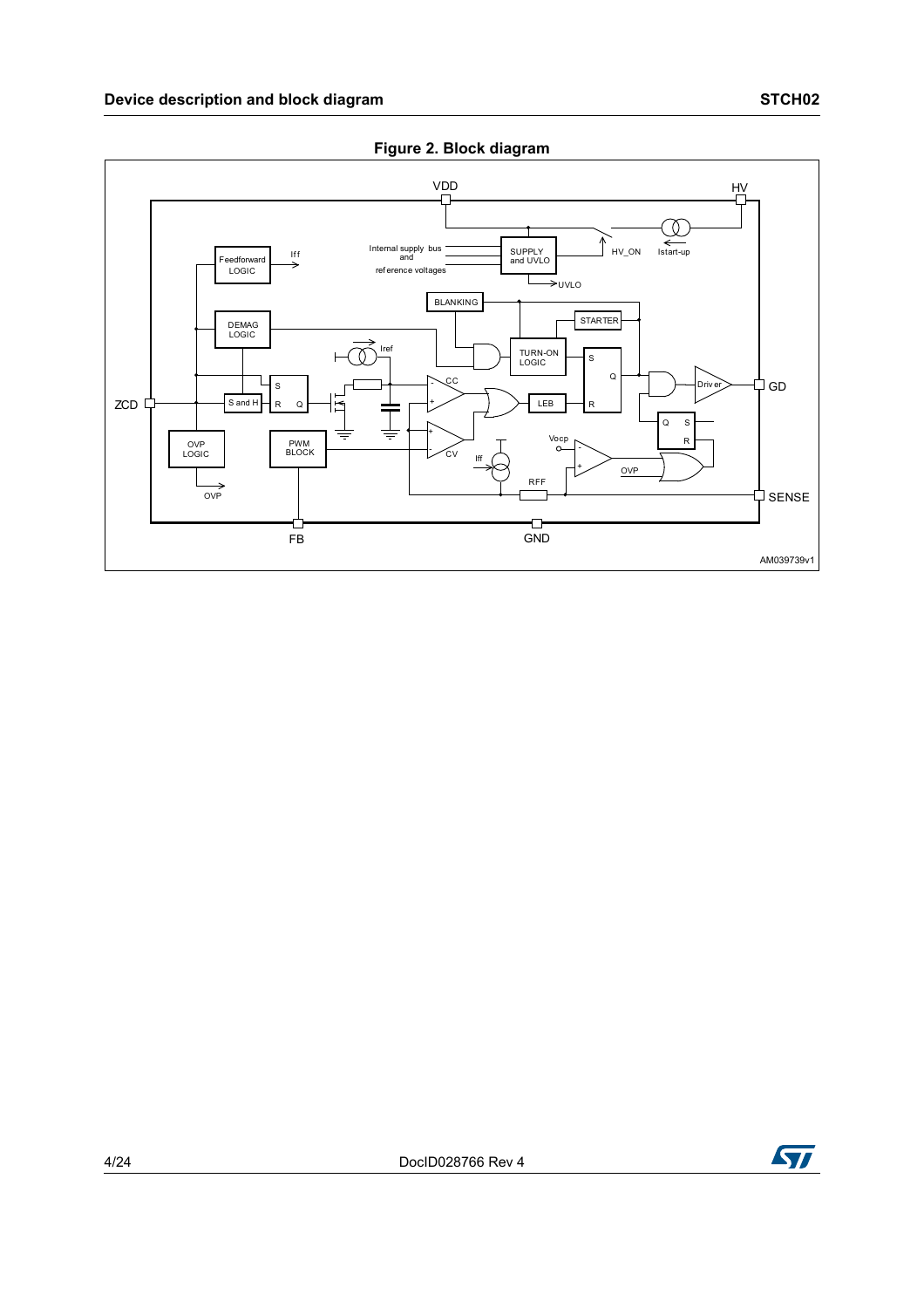<span id="page-3-0"></span>





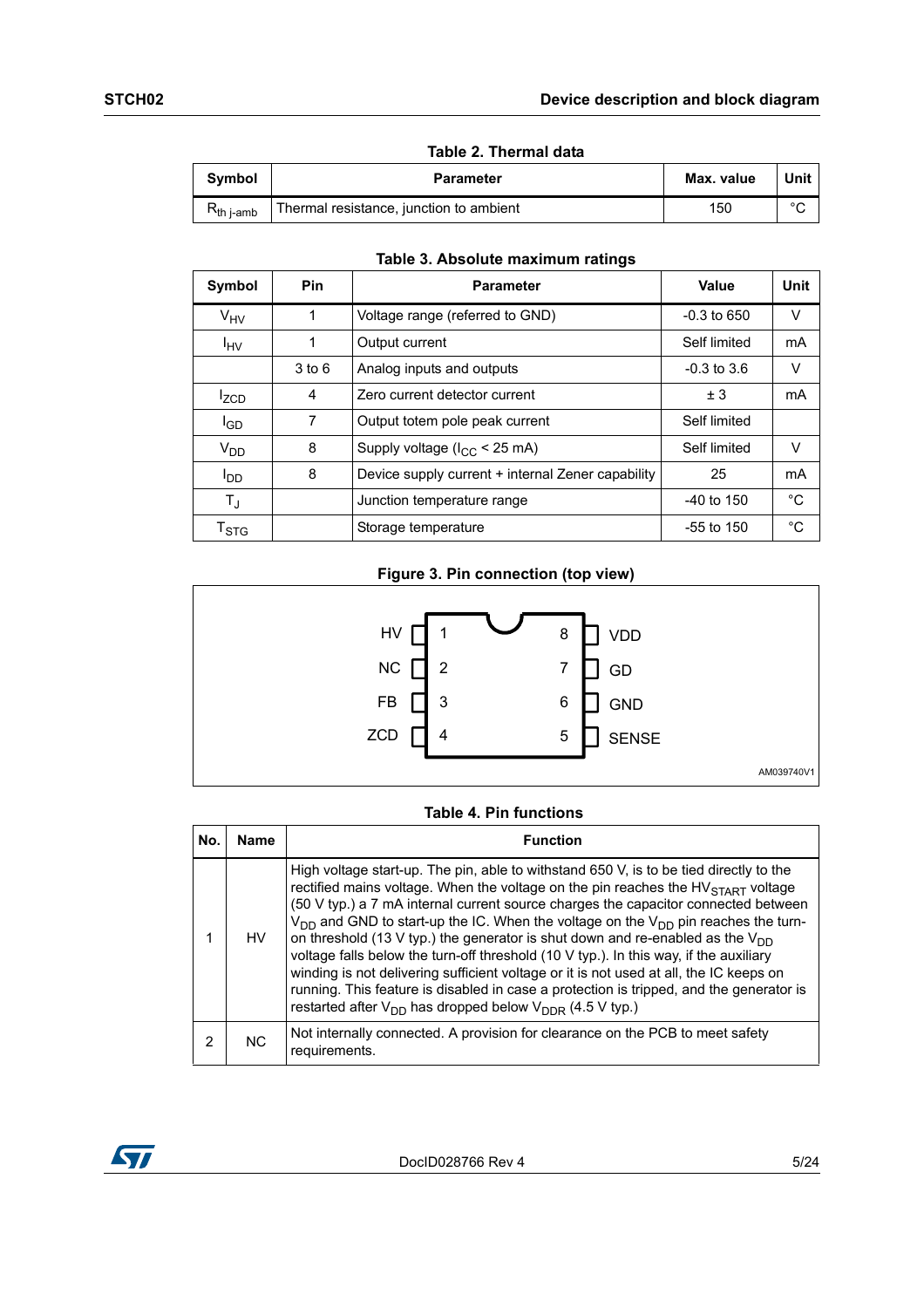|                 | Table 2. Thermal data                   |            |        |  |  |
|-----------------|-----------------------------------------|------------|--------|--|--|
| Symbol          | <b>Parameter</b>                        | Max. value | Unit   |  |  |
| $R_{th\,$ i-amb | Thermal resistance, junction to ambient | 150        | $\sim$ |  |  |

|  | Tablo 3 Abeoluto maximum ratinge |  |
|--|----------------------------------|--|

| Symbol                    | <b>Pin</b> | <b>Parameter</b>                                  | Value           | Unit   |
|---------------------------|------------|---------------------------------------------------|-----------------|--------|
| $V_{HV}$                  |            | Voltage range (referred to GND)                   | $-0.3$ to 650   | $\vee$ |
| $I_{\text{HV}}$           | 1          | Output current                                    | Self limited    | mA     |
|                           | $3$ to $6$ | Analog inputs and outputs                         | $-0.3$ to $3.6$ | V      |
| <sup>I</sup> ZCD          | 4          | Zero current detector current                     | ± 3             | mA     |
| l <sub>GD</sub>           | 7          | Output totem pole peak current                    | Self limited    |        |
| $V_{DD}$                  | 8          | Supply voltage $(l_{CC} < 25 \text{ mA})$         | Self limited    | V      |
| l <sub>DD</sub>           | 8          | Device supply current + internal Zener capability | 25              | mA     |
| $T_{\text{J}}$            |            | Junction temperature range                        | $-40$ to 150    | °C     |
| $\mathsf{T}_{\text{STG}}$ |            | Storage temperature                               | $-55$ to 150    | °C     |

#### **Table 3. Absolute maximum ratings**

#### **Figure 3. Pin connection (top view)**



#### **Table 4. Pin functions**

| No. | Name           | <b>Function</b>                                                                                                                                                                                                                                                                                                                                                                                                                                                                                                                                                                                                                                                                                                                                                                                               |
|-----|----------------|---------------------------------------------------------------------------------------------------------------------------------------------------------------------------------------------------------------------------------------------------------------------------------------------------------------------------------------------------------------------------------------------------------------------------------------------------------------------------------------------------------------------------------------------------------------------------------------------------------------------------------------------------------------------------------------------------------------------------------------------------------------------------------------------------------------|
|     | HV.            | High voltage start-up. The pin, able to withstand 650 V, is to be tied directly to the<br>rectified mains voltage. When the voltage on the pin reaches the $HV_{START}$ voltage<br>(50 V typ.) a 7 mA internal current source charges the capacitor connected between<br>$V_{DD}$ and GND to start-up the IC. When the voltage on the $V_{DD}$ pin reaches the turn-<br>on threshold (13 V typ.) the generator is shut down and re-enabled as the $V_{DD}$<br>voltage falls below the turn-off threshold (10 V typ.). In this way, if the auxiliary<br>winding is not delivering sufficient voltage or it is not used at all, the IC keeps on<br>running. This feature is disabled in case a protection is tripped, and the generator is<br>restarted after $V_{DD}$ has dropped below $V_{DDR}$ (4.5 V typ.) |
| 2   | N <sub>C</sub> | Not internally connected. A provision for clearance on the PCB to meet safety<br>requirements.                                                                                                                                                                                                                                                                                                                                                                                                                                                                                                                                                                                                                                                                                                                |

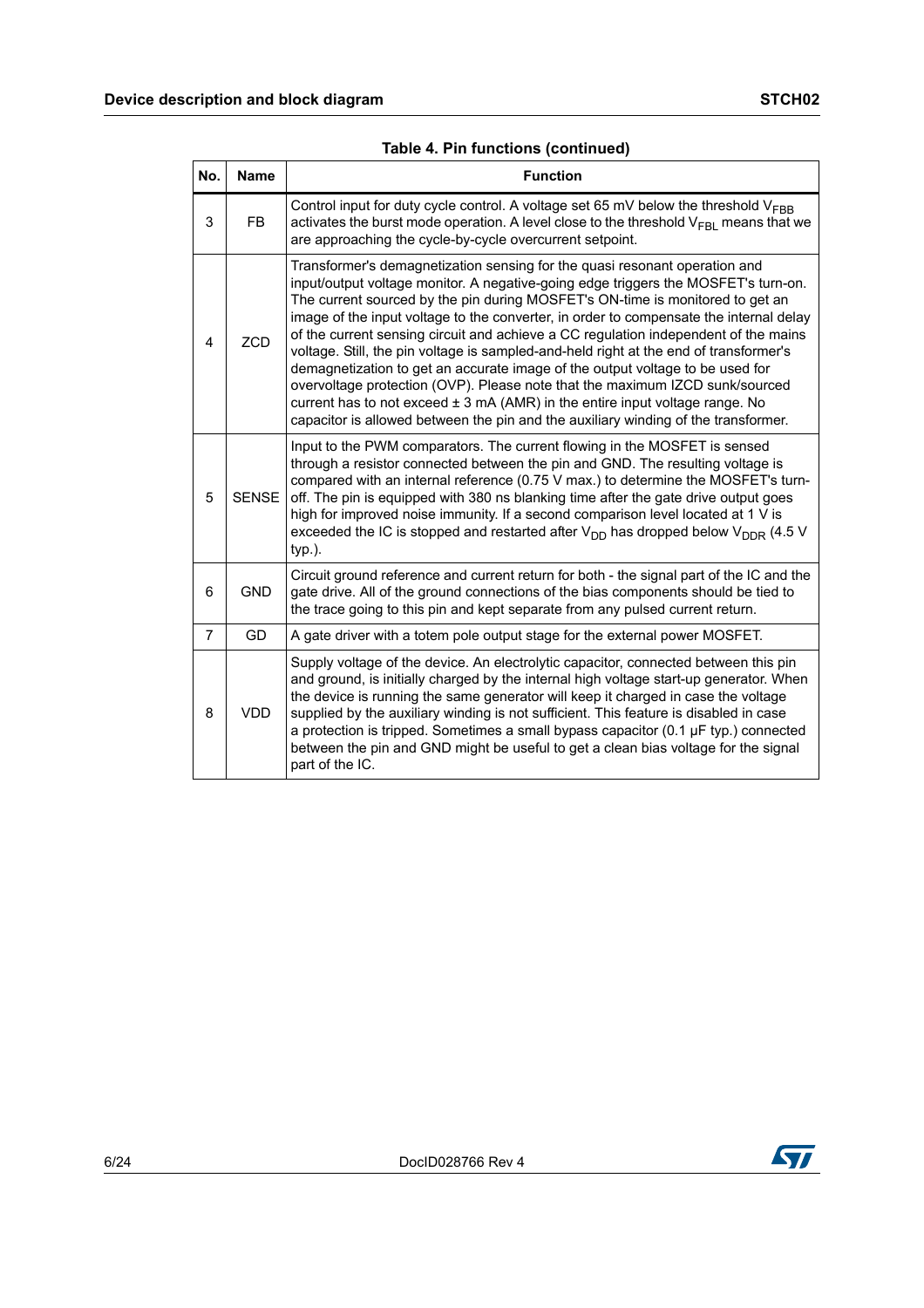|  |  |  |  | Table 4. Pin functions (continued) |
|--|--|--|--|------------------------------------|
|--|--|--|--|------------------------------------|

| No.            | <b>Name</b>  | <b>Function</b>                                                                                                                                                                                                                                                                                                                                                                                                                                                                                                                                                                                                                                                                                                                                                                                                                                                        |
|----------------|--------------|------------------------------------------------------------------------------------------------------------------------------------------------------------------------------------------------------------------------------------------------------------------------------------------------------------------------------------------------------------------------------------------------------------------------------------------------------------------------------------------------------------------------------------------------------------------------------------------------------------------------------------------------------------------------------------------------------------------------------------------------------------------------------------------------------------------------------------------------------------------------|
| 3              | <b>FB</b>    | Control input for duty cycle control. A voltage set 65 mV below the threshold $V_{\text{FBB}}$<br>activates the burst mode operation. A level close to the threshold $V_{FRI}$ means that we<br>are approaching the cycle-by-cycle overcurrent setpoint.                                                                                                                                                                                                                                                                                                                                                                                                                                                                                                                                                                                                               |
| 4              | <b>ZCD</b>   | Transformer's demagnetization sensing for the quasi resonant operation and<br>input/output voltage monitor. A negative-going edge triggers the MOSFET's turn-on.<br>The current sourced by the pin during MOSFET's ON-time is monitored to get an<br>image of the input voltage to the converter, in order to compensate the internal delay<br>of the current sensing circuit and achieve a CC regulation independent of the mains<br>voltage. Still, the pin voltage is sampled-and-held right at the end of transformer's<br>demagnetization to get an accurate image of the output voltage to be used for<br>overvoltage protection (OVP). Please note that the maximum IZCD sunk/sourced<br>current has to not exceed $\pm$ 3 mA (AMR) in the entire input voltage range. No<br>capacitor is allowed between the pin and the auxiliary winding of the transformer. |
| 5              | <b>SENSE</b> | Input to the PWM comparators. The current flowing in the MOSFET is sensed<br>through a resistor connected between the pin and GND. The resulting voltage is<br>compared with an internal reference (0.75 V max.) to determine the MOSFET's turn-<br>off. The pin is equipped with 380 ns blanking time after the gate drive output goes<br>high for improved noise immunity. If a second comparison level located at 1 V is<br>exceeded the IC is stopped and restarted after $V_{DD}$ has dropped below $V_{DDR}$ (4.5 V<br>$typ.$ ).                                                                                                                                                                                                                                                                                                                                 |
| 6              | <b>GND</b>   | Circuit ground reference and current return for both - the signal part of the IC and the<br>gate drive. All of the ground connections of the bias components should be tied to<br>the trace going to this pin and kept separate from any pulsed current return.                                                                                                                                                                                                                                                                                                                                                                                                                                                                                                                                                                                                        |
| $\overline{7}$ | GD           | A gate driver with a totem pole output stage for the external power MOSFET.                                                                                                                                                                                                                                                                                                                                                                                                                                                                                                                                                                                                                                                                                                                                                                                            |
| 8              | <b>VDD</b>   | Supply voltage of the device. An electrolytic capacitor, connected between this pin<br>and ground, is initially charged by the internal high voltage start-up generator. When<br>the device is running the same generator will keep it charged in case the voltage<br>supplied by the auxiliary winding is not sufficient. This feature is disabled in case<br>a protection is tripped. Sometimes a small bypass capacitor (0.1 µF typ.) connected<br>between the pin and GND might be useful to get a clean bias voltage for the signal<br>part of the IC.                                                                                                                                                                                                                                                                                                            |

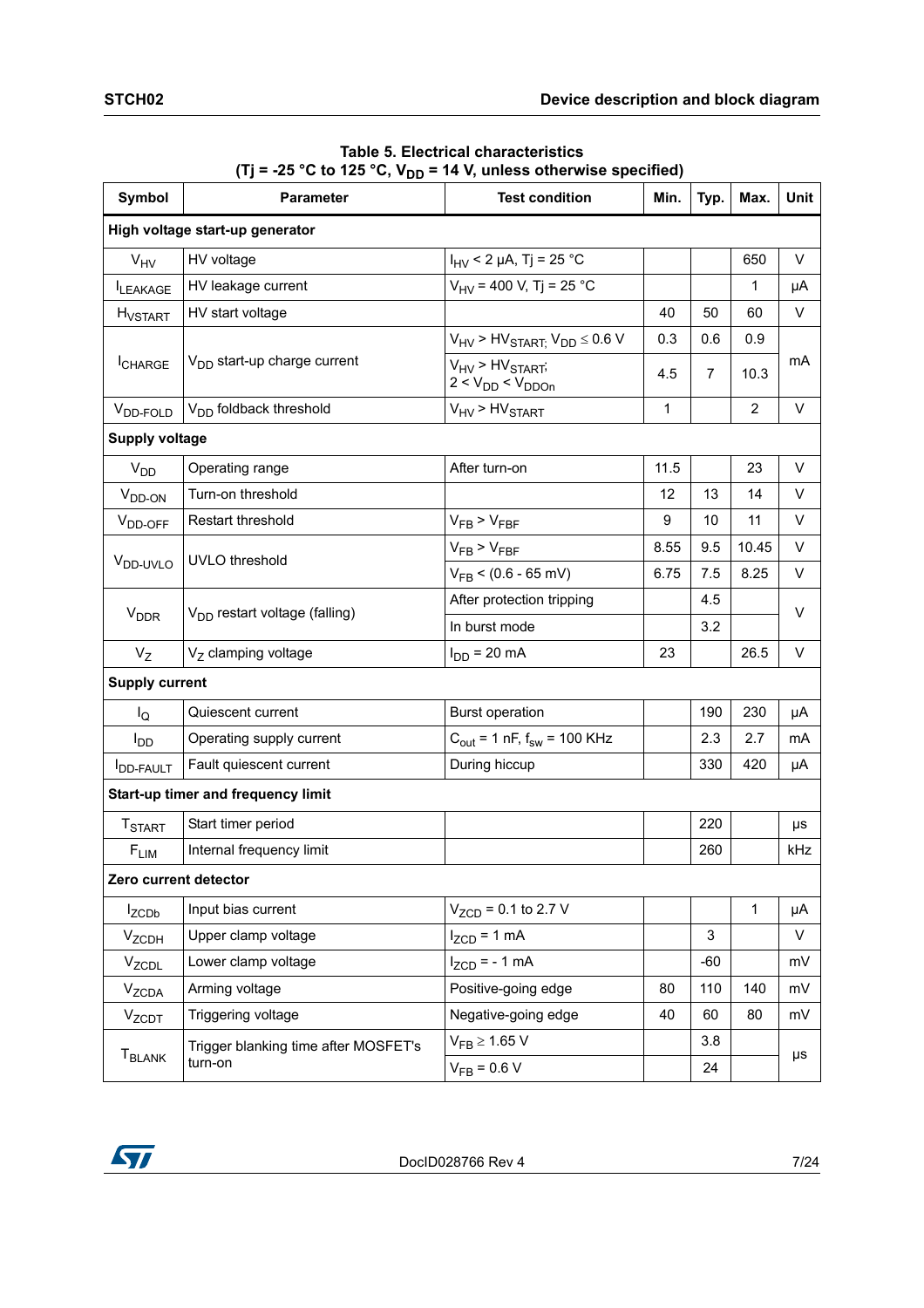<span id="page-6-0"></span>

| Symbol                     | <b>Parameter</b>                          | <b>Test condition</b>                               | Min.         | Typ.  | Max.           | Unit   |
|----------------------------|-------------------------------------------|-----------------------------------------------------|--------------|-------|----------------|--------|
|                            | High voltage start-up generator           |                                                     |              |       |                |        |
| $V_{HV}$                   | HV voltage                                | $I_{\text{HV}}$ < 2 µA, Tj = 25 °C                  |              |       | 650            | V      |
| <b>ILEAKAGE</b>            | HV leakage current                        | $V_{HV}$ = 400 V, Tj = 25 °C                        |              |       | $\mathbf{1}$   | μA     |
| <b>H</b> <sub>VSTART</sub> | HV start voltage                          |                                                     | 40           | 50    | 60             | V      |
|                            |                                           | $V_{HV}$ > HV <sub>START;</sub> $V_{DD} \leq 0.6$ V | 0.3          | 0.6   | 0.9            |        |
| <b>I</b> CHARGE            | V <sub>DD</sub> start-up charge current   | $V_{HV}$ > $HV_{STAT}$ ;<br>$2 < V_{DD} < V_{DDOn}$ | 4.5          | 7     | 10.3           | mA     |
| V <sub>DD-FOLD</sub>       | V <sub>DD</sub> foldback threshold        | $V_{\text{HV}}$ > $HV_{\text{STAT}}$                | $\mathbf{1}$ |       | $\overline{2}$ | V      |
| <b>Supply voltage</b>      |                                           |                                                     |              |       |                |        |
| V <sub>DD</sub>            | Operating range                           | After turn-on                                       | 11.5         |       | 23             | $\vee$ |
| V <sub>DD-ON</sub>         | Turn-on threshold                         |                                                     | 12           | 13    | 14             | V      |
| V <sub>DD-OFF</sub>        | Restart threshold                         | $V_{FB}$ > $V_{FBF}$                                | 9            | 10    | 11             | $\vee$ |
|                            | <b>UVLO</b> threshold                     | $V_{FB}$ > $V_{FBF}$                                | 8.55         | 9.5   | 10.45          | V      |
| V <sub>DD-UVLO</sub>       |                                           | $V_{FB}$ < (0.6 - 65 mV)                            | 6.75         | 7.5   | 8.25           | V      |
|                            | V <sub>DD</sub> restart voltage (falling) | After protection tripping                           |              | 4.5   |                | V      |
| <b>V<sub>DDR</sub></b>     |                                           | In burst mode                                       |              | 3.2   |                |        |
| $V_{Z}$                    | $VZ$ clamping voltage                     | $I_{DD}$ = 20 mA                                    | 23           |       | 26.5           | V      |
| <b>Supply current</b>      |                                           |                                                     |              |       |                |        |
| l <sub>Q</sub>             | Quiescent current                         | <b>Burst operation</b>                              |              | 190   | 230            | μA     |
| <b>I</b> <sub>DD</sub>     | Operating supply current                  | $C_{\text{out}}$ = 1 nF, $f_{\text{sw}}$ = 100 KHz  |              | 2.3   | 2.7            | mA     |
| <b>I</b> DD-FAULT          | Fault quiescent current                   | During hiccup                                       |              | 330   | 420            | μA     |
|                            | Start-up timer and frequency limit        |                                                     |              |       |                |        |
| <b>T<sub>START</sub></b>   | Start timer period                        |                                                     |              | 220   |                | μs     |
| $F_{LIM}$                  | Internal frequency limit                  |                                                     |              | 260   |                | kHz    |
| Zero current detector      |                                           |                                                     |              |       |                |        |
| I <sub>ZCDb</sub>          | Input bias current                        | $V_{ZCD}$ = 0.1 to 2.7 V                            |              |       | $\mathbf{1}$   | μA     |
| <b>V<sub>ZCDH</sub></b>    | Upper clamp voltage                       | $I_{ZCD}$ = 1 mA                                    |              | 3     |                | V      |
| V <sub>ZCDL</sub>          | Lower clamp voltage                       | $I_{ZCD}$ = - 1 mA                                  |              | $-60$ |                | mV     |
| <b>V<sub>ZCDA</sub></b>    | Arming voltage                            | Positive-going edge                                 | 80           | 110   | 140            | mV     |
| <b>V<sub>ZCDT</sub></b>    | Triggering voltage                        | Negative-going edge                                 | 40           | 60    | 80             | mV     |
|                            | Trigger blanking time after MOSFET's      | $V_{FB} \ge 1.65 V$                                 |              | 3.8   |                |        |
| <b>T<sub>BLANK</sub></b>   | turn-on                                   | $V_{FB} = 0.6 V$                                    |              | 24    |                | μs     |

**Table 5. Electrical characteristics**   $(Tj = -25 °C$  to 125 °C,  $V_{DD} = 14 V$ , unless otherwise specified)

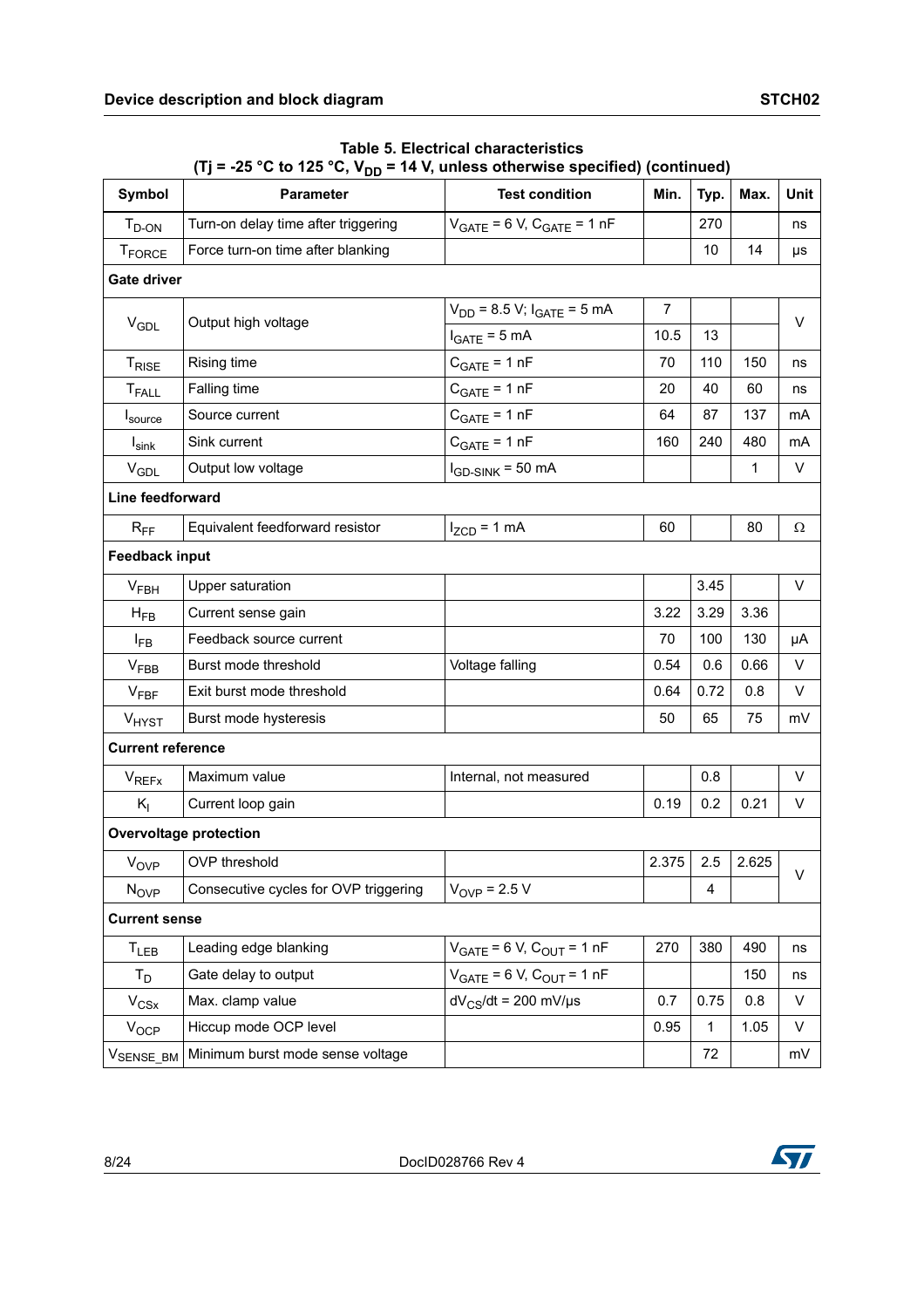| <b>Symbol</b>            | <b>Test condition</b><br><b>Parameter</b> |                                     | Min.           | Typ. | Max.  | Unit |
|--------------------------|-------------------------------------------|-------------------------------------|----------------|------|-------|------|
| $T_{D-ON}$               | Turn-on delay time after triggering       | $V_{GATE}$ = 6 V, $C_{GATE}$ = 1 nF |                | 270  |       | ns   |
| <b>TFORCE</b>            | Force turn-on time after blanking         |                                     |                | 10   | 14    | μs   |
| <b>Gate driver</b>       |                                           |                                     |                |      |       |      |
|                          |                                           | $V_{DD}$ = 8.5 V; $I_{GATE}$ = 5 mA | $\overline{7}$ |      |       |      |
| $V_{GDL}$                | Output high voltage                       | $I_{GATE} = 5 mA$                   | 10.5           | 13   |       | V    |
| <b>TRISE</b>             | Rising time                               | $C_{GATE} = 1 nF$                   | 70             | 110  | 150   | ns   |
| T <sub>FALL</sub>        | Falling time                              | $C_{GATE} = 1 nF$                   | 20             | 40   | 60    | ns   |
| Isource                  | Source current                            | $C_{GATE} = 1 nF$                   | 64             | 87   | 137   | mA   |
| $I_{\sf sink}$           | Sink current                              | $C_{GATE} = 1 nF$                   | 160            | 240  | 480   | mA   |
| $V_{GDL}$                | Output low voltage                        | $I_{GD-SINK}$ = 50 mA               |                |      | 1     | V    |
| Line feedforward         |                                           |                                     |                |      |       |      |
| $R_{FF}$                 | Equivalent feedforward resistor           | $I_{ZCD} = 1$ mA                    | 60             |      | 80    | Ω    |
| <b>Feedback input</b>    |                                           |                                     |                |      |       |      |
| $V_{FBH}$                | <b>Upper saturation</b>                   |                                     |                | 3.45 |       | V    |
| $H_{FB}$                 | Current sense gain                        |                                     | 3.22           | 3.29 | 3.36  |      |
| $I_{FB}$                 | Feedback source current                   |                                     | 70             | 100  | 130   | μA   |
| V <sub>FBB</sub>         | Burst mode threshold                      | Voltage falling                     | 0.54           | 0.6  | 0.66  | V    |
| $V_{\text{FBF}}$         | Exit burst mode threshold                 |                                     | 0.64           | 0.72 | 0.8   | V    |
| V <sub>HYST</sub>        | Burst mode hysteresis                     |                                     | 50             | 65   | 75    | mV   |
| <b>Current reference</b> |                                           |                                     |                |      |       |      |
| <b>V<sub>REFX</sub></b>  | Maximum value                             | Internal, not measured              |                | 0.8  |       | V    |
| $K_{I}$                  | Current loop gain                         |                                     | 0.19           | 0.2  | 0.21  | V    |
|                          | <b>Overvoltage protection</b>             |                                     |                |      |       |      |
| V <sub>OVP</sub>         | OVP threshold                             |                                     | 2.375          | 2.5  | 2.625 |      |
| N <sub>OVP</sub>         | Consecutive cycles for OVP triggering     | $V_{OVP}$ = 2.5 V                   |                | 4    |       | V    |
| <b>Current sense</b>     |                                           |                                     |                |      |       |      |
| $T_{LEB}$                | Leading edge blanking                     | $V_{GATE}$ = 6 V, $C_{OUT}$ = 1 nF  | 270            | 380  | 490   | ns   |
| $T_D$                    | Gate delay to output                      | $V_{GATE}$ = 6 V, $C_{OUT}$ = 1 nF  |                |      | 150   | ns   |
| $V_{CSX}$                | Max. clamp value                          | $dV_{CS}/dt = 200$ mV/µs            | 0.7            | 0.75 | 0.8   | V    |
| $V_{OCP}$                | Hiccup mode OCP level                     |                                     | 0.95           | 1    | 1.05  | V    |
| V <sub>SENSE_BM</sub>    | Minimum burst mode sense voltage          |                                     |                | 72   |       | mV   |

**Table 5. Electrical characteristics**  (Tj = -25 °C to 125 °C,  $V_{DD}$  = 14 V, unless otherwise specified) (continued)

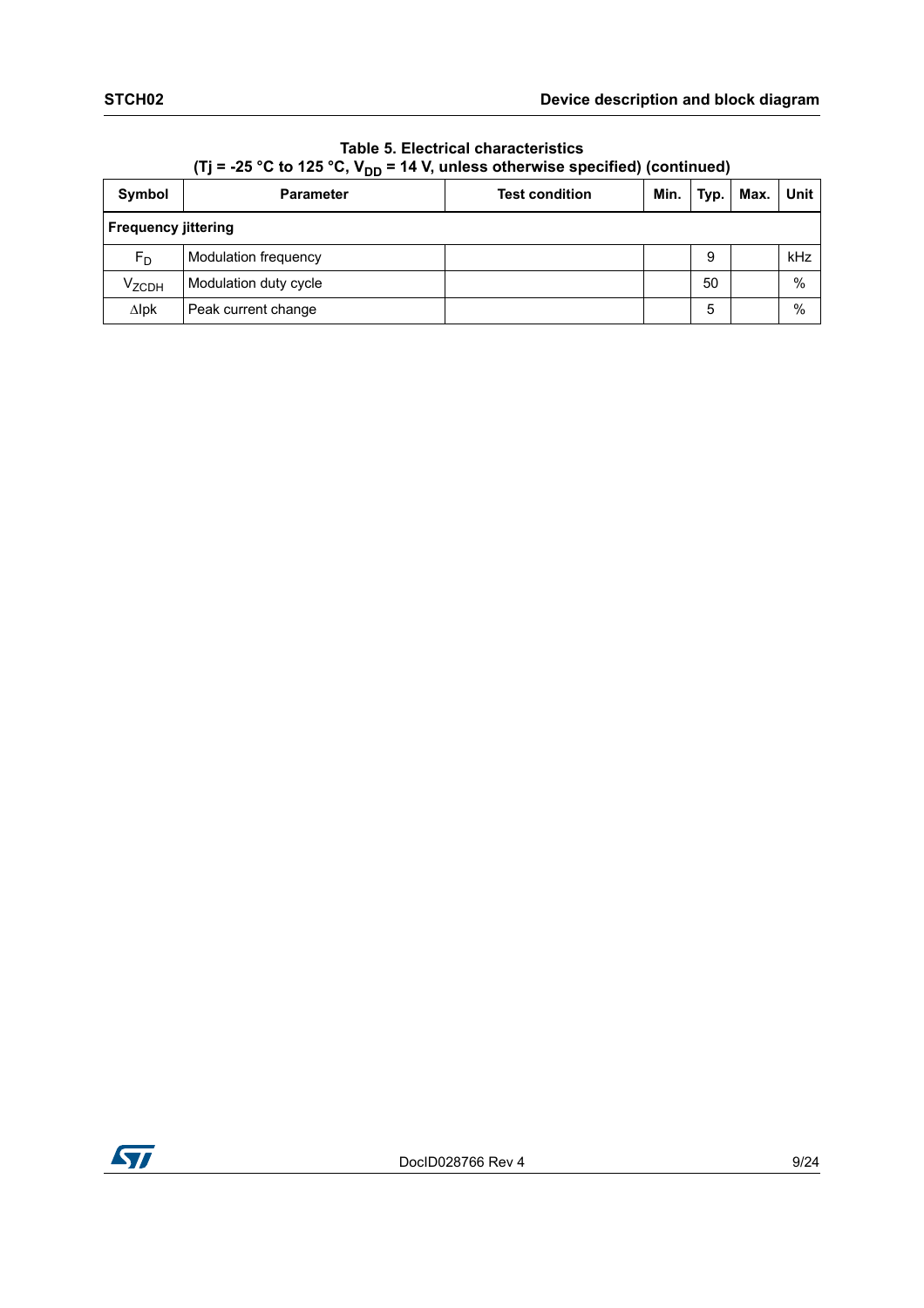|                            | $-2$ $-2$ $-2$ $-7$ $-1$                  |  |      |      |      |      |  |
|----------------------------|-------------------------------------------|--|------|------|------|------|--|
| Symbol                     | <b>Test condition</b><br><b>Parameter</b> |  | Min. | Typ. | Max. | Unit |  |
| <b>Frequency jittering</b> |                                           |  |      |      |      |      |  |
| $F_D$                      | Modulation frequency                      |  |      | 9    |      | kHz  |  |
| $V_{ZCDH}$                 | Modulation duty cycle                     |  |      | 50   |      | $\%$ |  |
| $\Delta$ lpk               | Peak current change                       |  |      | 5    |      | %    |  |

**Table 5. Electrical characteristics**  (Ti =  $-25$  °C to 125 °C, V<sub>DD</sub> = 14 V, unless otherwise specified) (continued)

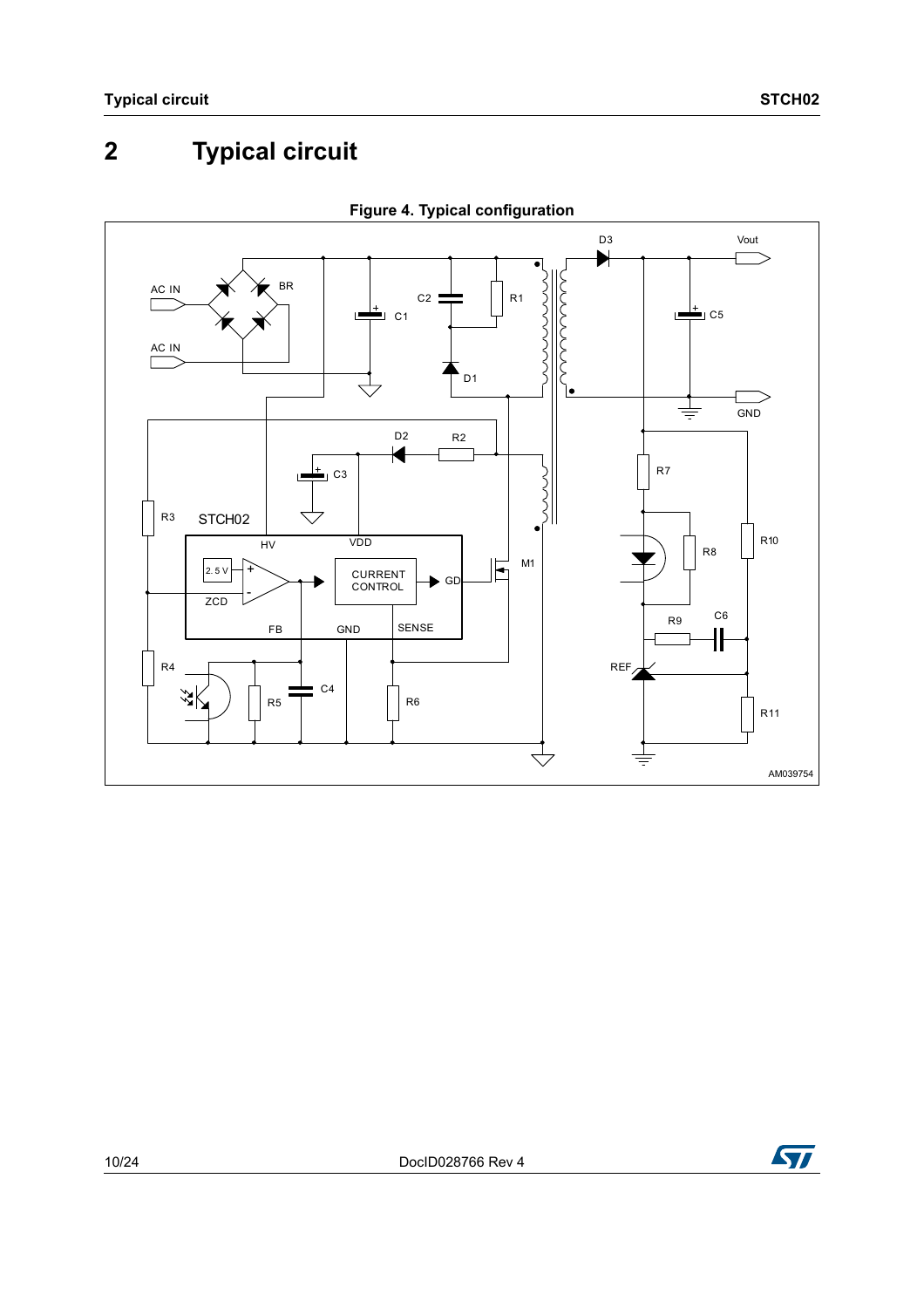# <span id="page-9-0"></span>**2 Typical circuit**



**Figure 4. Typical configuration**

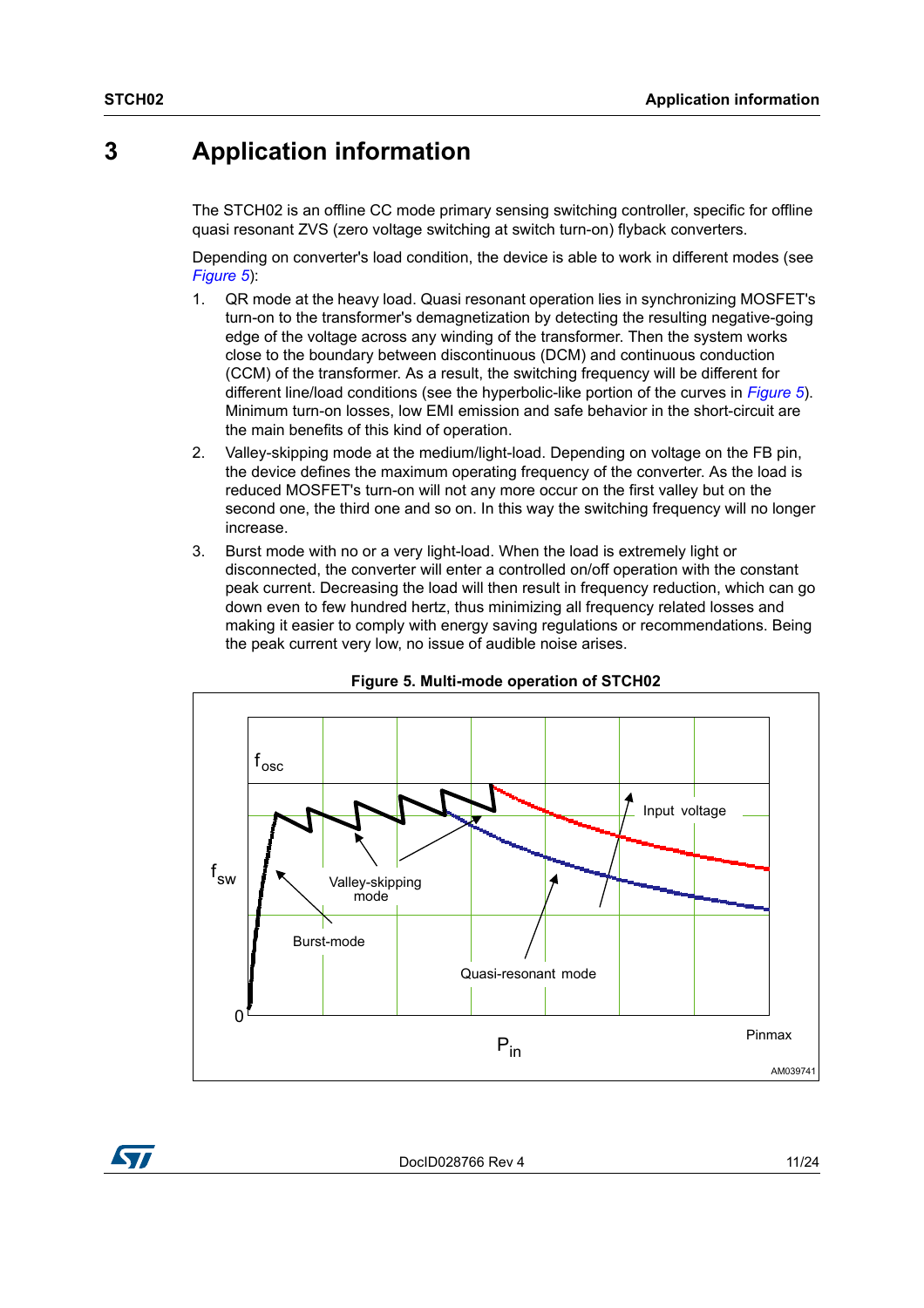# <span id="page-10-0"></span>**3 Application information**

The STCH02 is an offline CC mode primary sensing switching controller, specific for offline quasi resonant ZVS (zero voltage switching at switch turn-on) flyback converters.

Depending on converter's load condition, the device is able to work in different modes (see *[Figure 5](#page-10-1)*):

- 1. QR mode at the heavy load. Quasi resonant operation lies in synchronizing MOSFET's turn-on to the transformer's demagnetization by detecting the resulting negative-going edge of the voltage across any winding of the transformer. Then the system works close to the boundary between discontinuous (DCM) and continuous conduction (CCM) of the transformer. As a result, the switching frequency will be different for different line/load conditions (see the hyperbolic-like portion of the curves in *[Figure 5](#page-10-1)*). Minimum turn-on losses, low EMI emission and safe behavior in the short-circuit are the main benefits of this kind of operation.
- 2. Valley-skipping mode at the medium/light-load. Depending on voltage on the FB pin, the device defines the maximum operating frequency of the converter. As the load is reduced MOSFET's turn-on will not any more occur on the first valley but on the second one, the third one and so on. In this way the switching frequency will no longer increase.
- 3. Burst mode with no or a very light-load. When the load is extremely light or disconnected, the converter will enter a controlled on/off operation with the constant peak current. Decreasing the load will then result in frequency reduction, which can go down even to few hundred hertz, thus minimizing all frequency related losses and making it easier to comply with energy saving regulations or recommendations. Being the peak current very low, no issue of audible noise arises.

<span id="page-10-1"></span>

#### **Figure 5. Multi-mode operation of STCH02**

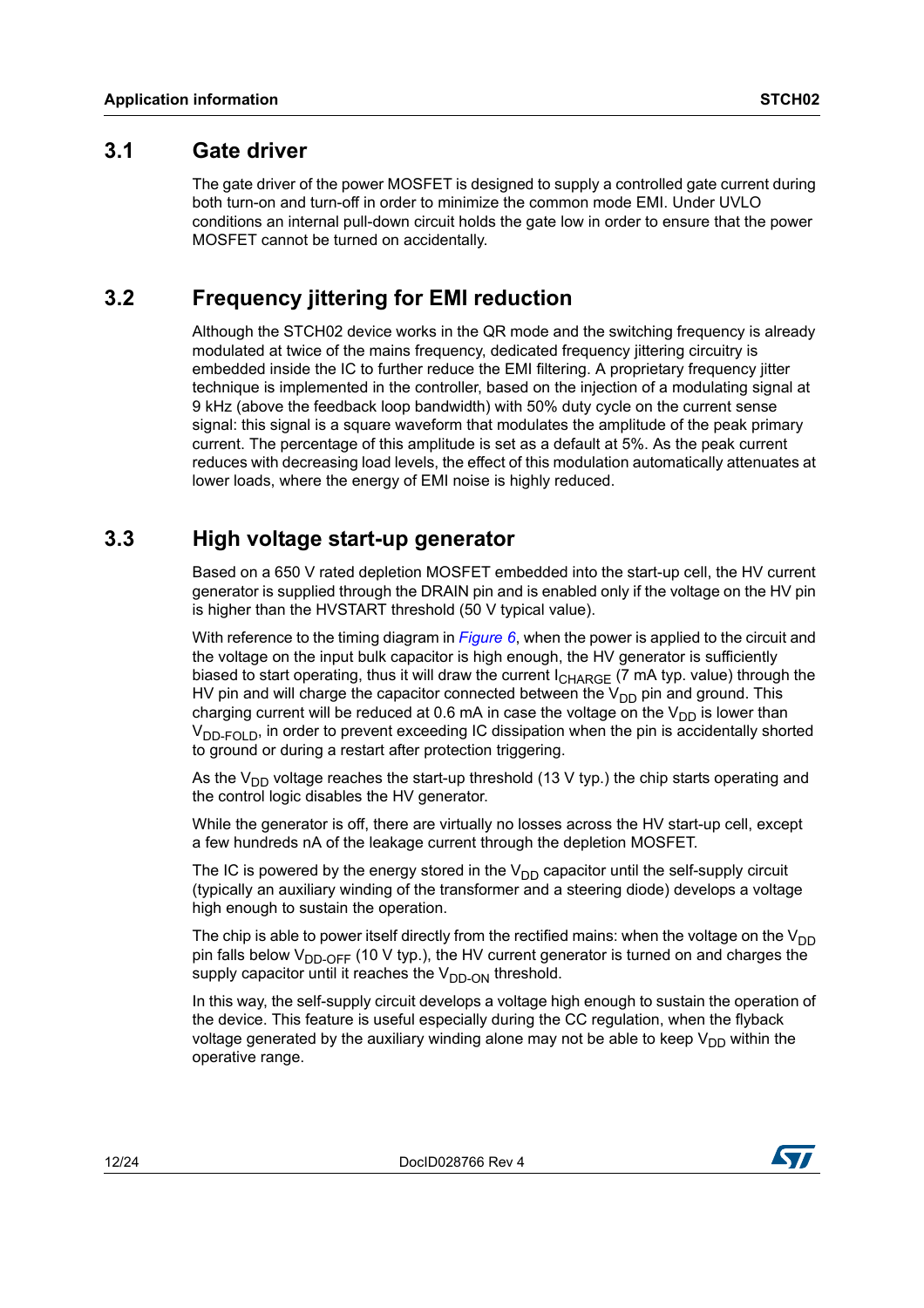#### <span id="page-11-0"></span>**3.1 Gate driver**

The gate driver of the power MOSFET is designed to supply a controlled gate current during both turn-on and turn-off in order to minimize the common mode EMI. Under UVLO conditions an internal pull-down circuit holds the gate low in order to ensure that the power MOSFET cannot be turned on accidentally.

## <span id="page-11-1"></span>**3.2 Frequency jittering for EMI reduction**

Although the STCH02 device works in the QR mode and the switching frequency is already modulated at twice of the mains frequency, dedicated frequency jittering circuitry is embedded inside the IC to further reduce the EMI filtering. A proprietary frequency jitter technique is implemented in the controller, based on the injection of a modulating signal at 9 kHz (above the feedback loop bandwidth) with 50% duty cycle on the current sense signal: this signal is a square waveform that modulates the amplitude of the peak primary current. The percentage of this amplitude is set as a default at 5%. As the peak current reduces with decreasing load levels, the effect of this modulation automatically attenuates at lower loads, where the energy of EMI noise is highly reduced.

## <span id="page-11-2"></span>**3.3 High voltage start-up generator**

Based on a 650 V rated depletion MOSFET embedded into the start-up cell, the HV current generator is supplied through the DRAIN pin and is enabled only if the voltage on the HV pin is higher than the HVSTART threshold (50 V typical value).

With reference to the timing diagram in *[Figure 6](#page-12-1)*, when the power is applied to the circuit and the voltage on the input bulk capacitor is high enough, the HV generator is sufficiently biased to start operating, thus it will draw the current I<sub>CHARGE</sub> (7 mA typ. value) through the HV pin and will charge the capacitor connected between the  $V_{DD}$  pin and ground. This charging current will be reduced at 0.6 mA in case the voltage on the  $V_{DD}$  is lower than  $V_{\text{DD-FOID}}$ , in order to prevent exceeding IC dissipation when the pin is accidentally shorted to ground or during a restart after protection triggering.

As the V<sub>DD</sub> voltage reaches the start-up threshold (13 V typ.) the chip starts operating and the control logic disables the HV generator.

While the generator is off, there are virtually no losses across the HV start-up cell, except a few hundreds nA of the leakage current through the depletion MOSFET.

The IC is powered by the energy stored in the  $V_{DD}$  capacitor until the self-supply circuit (typically an auxiliary winding of the transformer and a steering diode) develops a voltage high enough to sustain the operation.

The chip is able to power itself directly from the rectified mains: when the voltage on the  $V_{DD}$ pin falls below  $V_{DD-OFF}$  (10 V typ.), the HV current generator is turned on and charges the supply capacitor until it reaches the  $V_{DD-ON}$  threshold.

In this way, the self-supply circuit develops a voltage high enough to sustain the operation of the device. This feature is useful especially during the CC regulation, when the flyback voltage generated by the auxiliary winding alone may not be able to keep  $V_{DD}$  within the operative range.

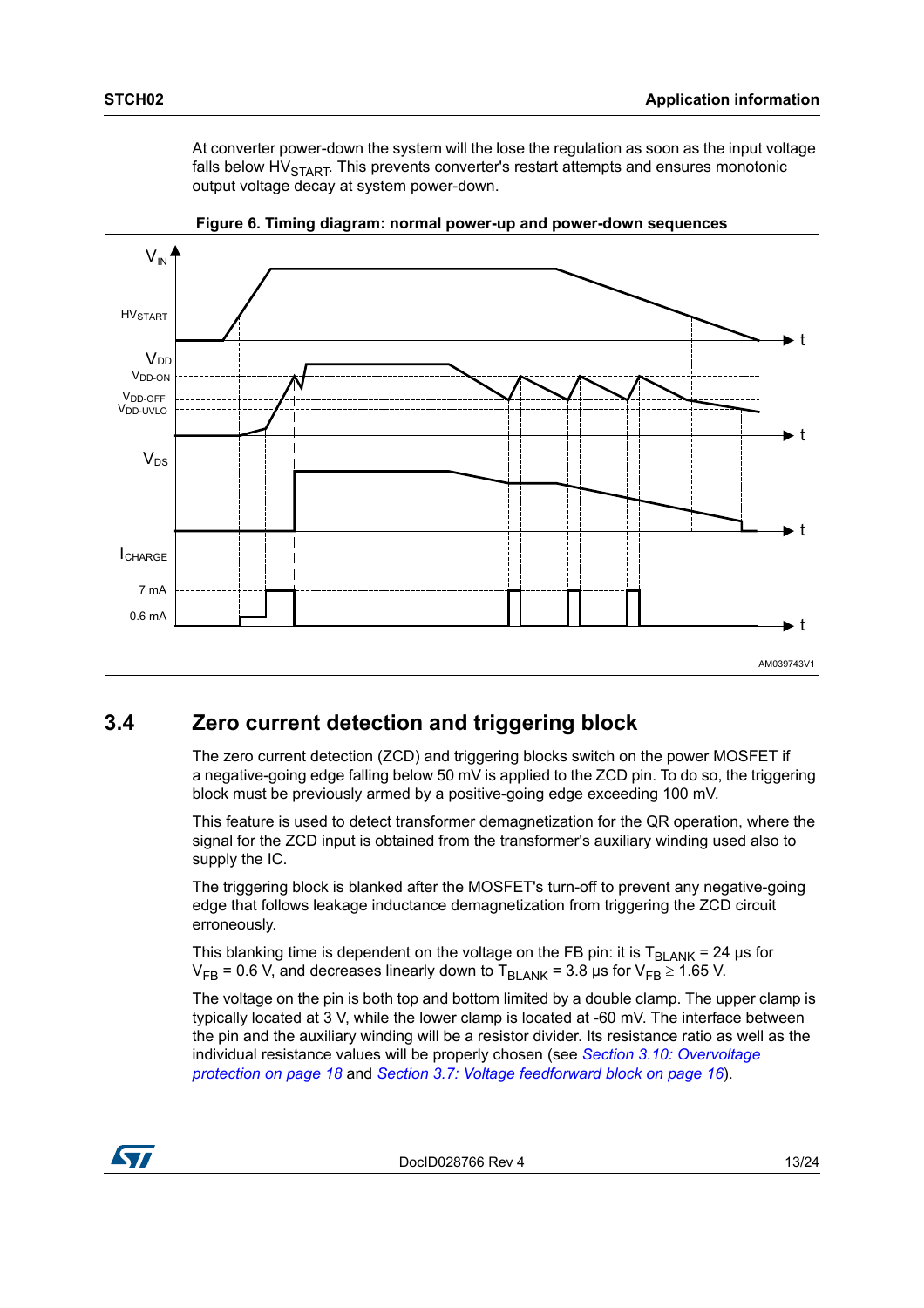At converter power-down the system will the lose the regulation as soon as the input voltage falls below  $HV<sub>STAT</sub>$ . This prevents converter's restart attempts and ensures monotonic output voltage decay at system power-down.

<span id="page-12-1"></span>



## <span id="page-12-0"></span>**3.4 Zero current detection and triggering block**

The zero current detection (ZCD) and triggering blocks switch on the power MOSFET if a negative-going edge falling below 50 mV is applied to the ZCD pin. To do so, the triggering block must be previously armed by a positive-going edge exceeding 100 mV.

This feature is used to detect transformer demagnetization for the QR operation, where the signal for the ZCD input is obtained from the transformer's auxiliary winding used also to supply the IC.

The triggering block is blanked after the MOSFET's turn-off to prevent any negative-going edge that follows leakage inductance demagnetization from triggering the ZCD circuit erroneously.

This blanking time is dependent on the voltage on the FB pin: it is  $T_{BLANK} = 24 \mu s$  for  $V_{FB}$  = 0.6 V, and decreases linearly down to T<sub>BLANK</sub> = 3.8 µs for  $V_{FB} \ge 1.65$  V.

The voltage on the pin is both top and bottom limited by a double clamp. The upper clamp is typically located at 3 V, while the lower clamp is located at -60 mV. The interface between the pin and the auxiliary winding will be a resistor divider. Its resistance ratio as well as the individual resistance values will be properly chosen (see *[Section 3.10: Overvoltage](#page-17-1)  [protection on page 18](#page-17-1)* and *[Section 3.7: Voltage feedforward block on page 16](#page-15-0)*).

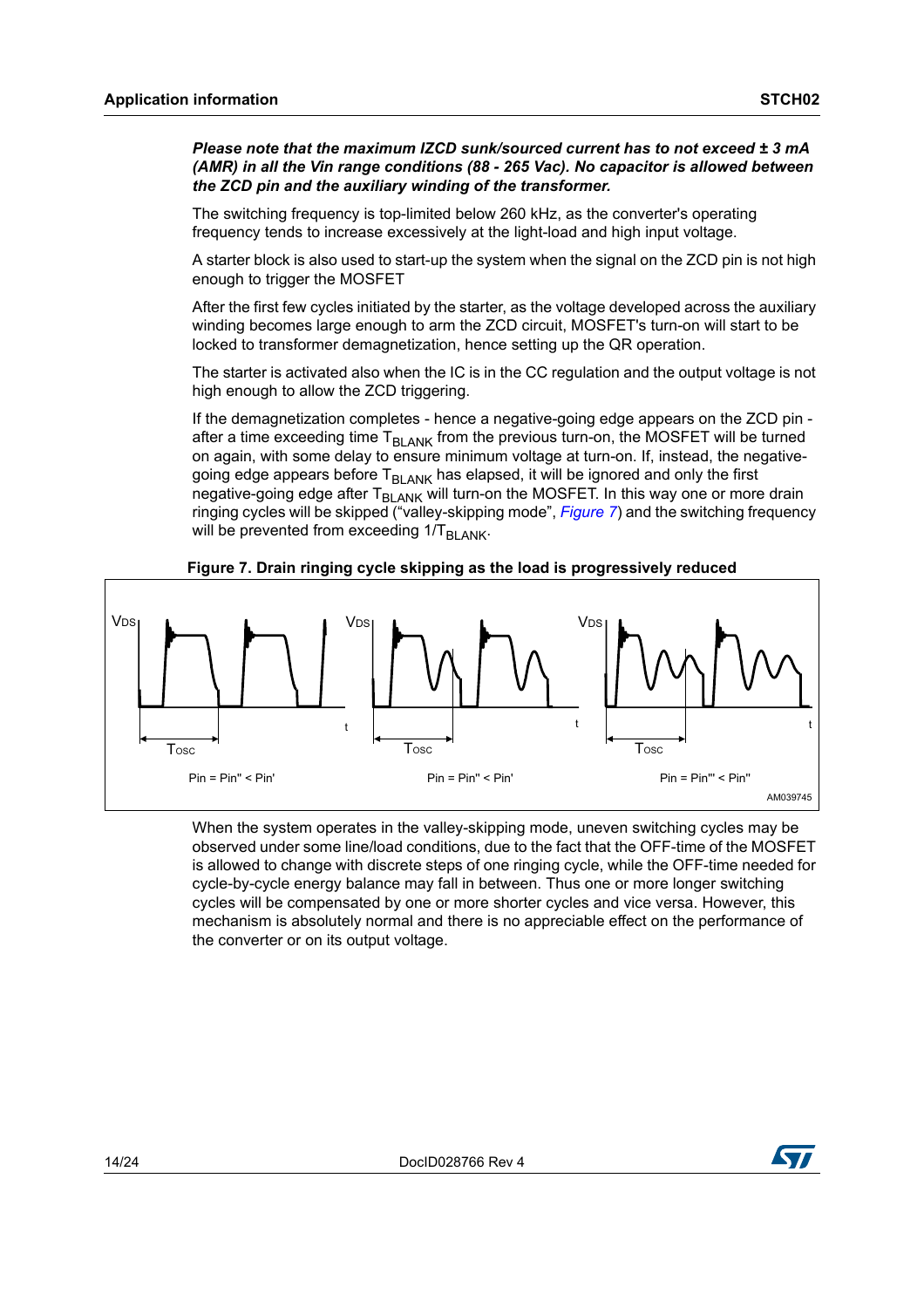*Please note that the maximum IZCD sunk/sourced current has to not exceed ± 3 mA (AMR) in all the Vin range conditions (88 - 265 Vac). No capacitor is allowed between the ZCD pin and the auxiliary winding of the transformer.*

The switching frequency is top-limited below 260 kHz, as the converter's operating frequency tends to increase excessively at the light-load and high input voltage.

A starter block is also used to start-up the system when the signal on the ZCD pin is not high enough to trigger the MOSFET

After the first few cycles initiated by the starter, as the voltage developed across the auxiliary winding becomes large enough to arm the ZCD circuit, MOSFET's turn-on will start to be locked to transformer demagnetization, hence setting up the QR operation.

The starter is activated also when the IC is in the CC regulation and the output voltage is not high enough to allow the ZCD triggering.

If the demagnetization completes - hence a negative-going edge appears on the ZCD pin after a time exceeding time  $T<sub>BLANK</sub>$  from the previous turn-on, the MOSFET will be turned on again, with some delay to ensure minimum voltage at turn-on. If, instead, the negativegoing edge appears before T<sub>BLANK</sub> has elapsed, it will be ignored and only the first negative-going edge after  $T_{BLANK}$  will turn-on the MOSFET. In this way one or more drain ringing cycles will be skipped ("valley-skipping mode", *[Figure 7](#page-13-0)*) and the switching frequency will be prevented from exceeding  $1/T_{BLANK}$ .

<span id="page-13-0"></span>

**Figure 7. Drain ringing cycle skipping as the load is progressively reduced**

When the system operates in the valley-skipping mode, uneven switching cycles may be observed under some line/load conditions, due to the fact that the OFF-time of the MOSFET is allowed to change with discrete steps of one ringing cycle, while the OFF-time needed for cycle-by-cycle energy balance may fall in between. Thus one or more longer switching cycles will be compensated by one or more shorter cycles and vice versa. However, this mechanism is absolutely normal and there is no appreciable effect on the performance of the converter or on its output voltage.

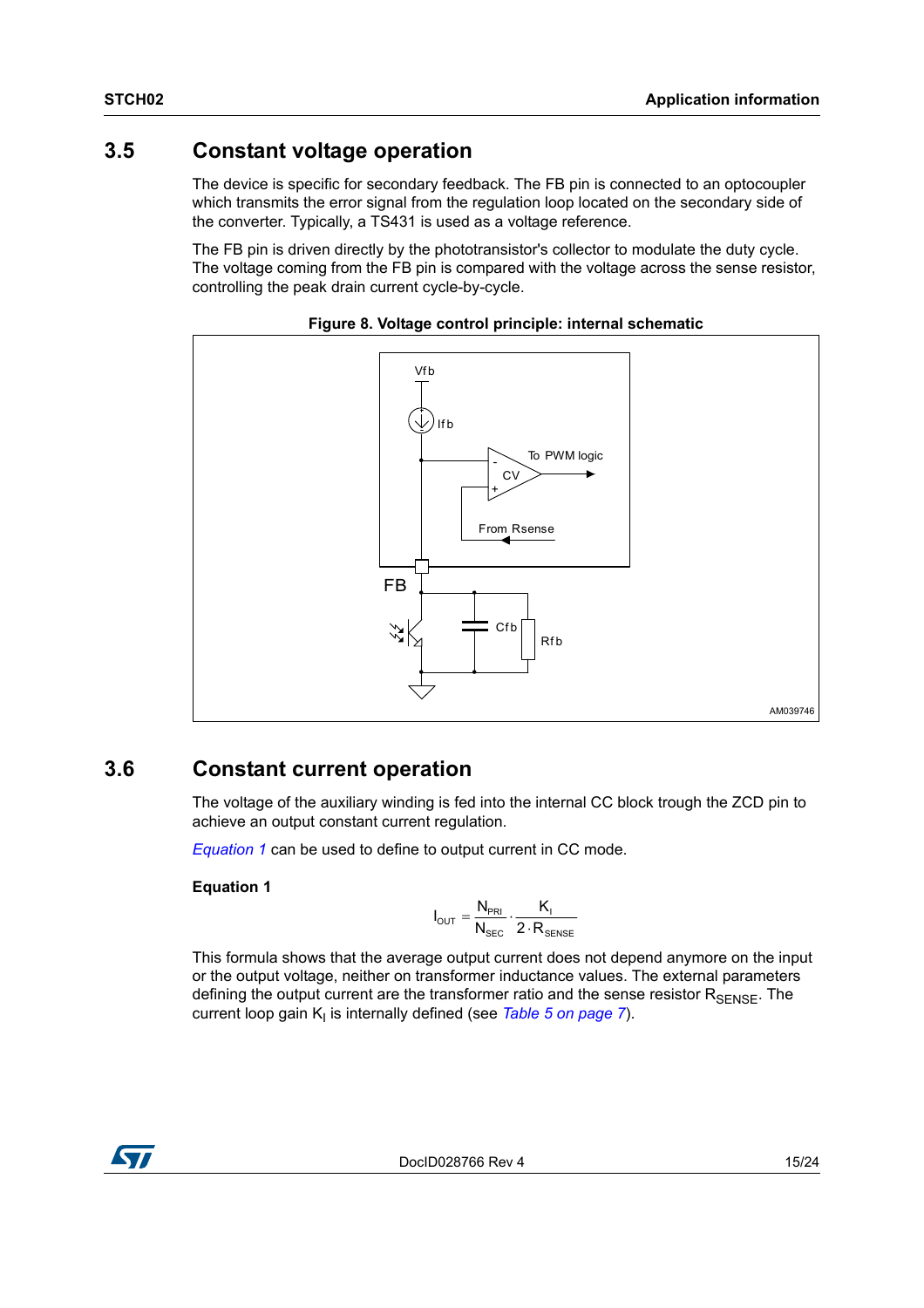## <span id="page-14-0"></span>**3.5 Constant voltage operation**

The device is specific for secondary feedback. The FB pin is connected to an optocoupler which transmits the error signal from the regulation loop located on the secondary side of the converter. Typically, a TS431 is used as a voltage reference.

The FB pin is driven directly by the phototransistor's collector to modulate the duty cycle. The voltage coming from the FB pin is compared with the voltage across the sense resistor, controlling the peak drain current cycle-by-cycle.



#### **Figure 8. Voltage control principle: internal schematic**

### <span id="page-14-1"></span>**3.6 Constant current operation**

The voltage of the auxiliary winding is fed into the internal CC block trough the ZCD pin to achieve an output constant current regulation.

*[Equation 1](#page-14-2)* can be used to define to output current in CC mode.

#### <span id="page-14-2"></span>**Equation 1**

$$
I_{\text{OUT}} = \frac{N_{\text{PRI}}}{N_{\text{SEC}}} \cdot \frac{K_{\text{I}}}{2 \cdot R_{\text{SENSE}}}
$$

This formula shows that the average output current does not depend anymore on the input or the output voltage, neither on transformer inductance values. The external parameters defining the output current are the transformer ratio and the sense resistor  $R_{\text{SENSE}}$ . The current loop gain K<sub>I</sub> is internally defined (see *[Table 5 on page 7](#page-6-0)*).

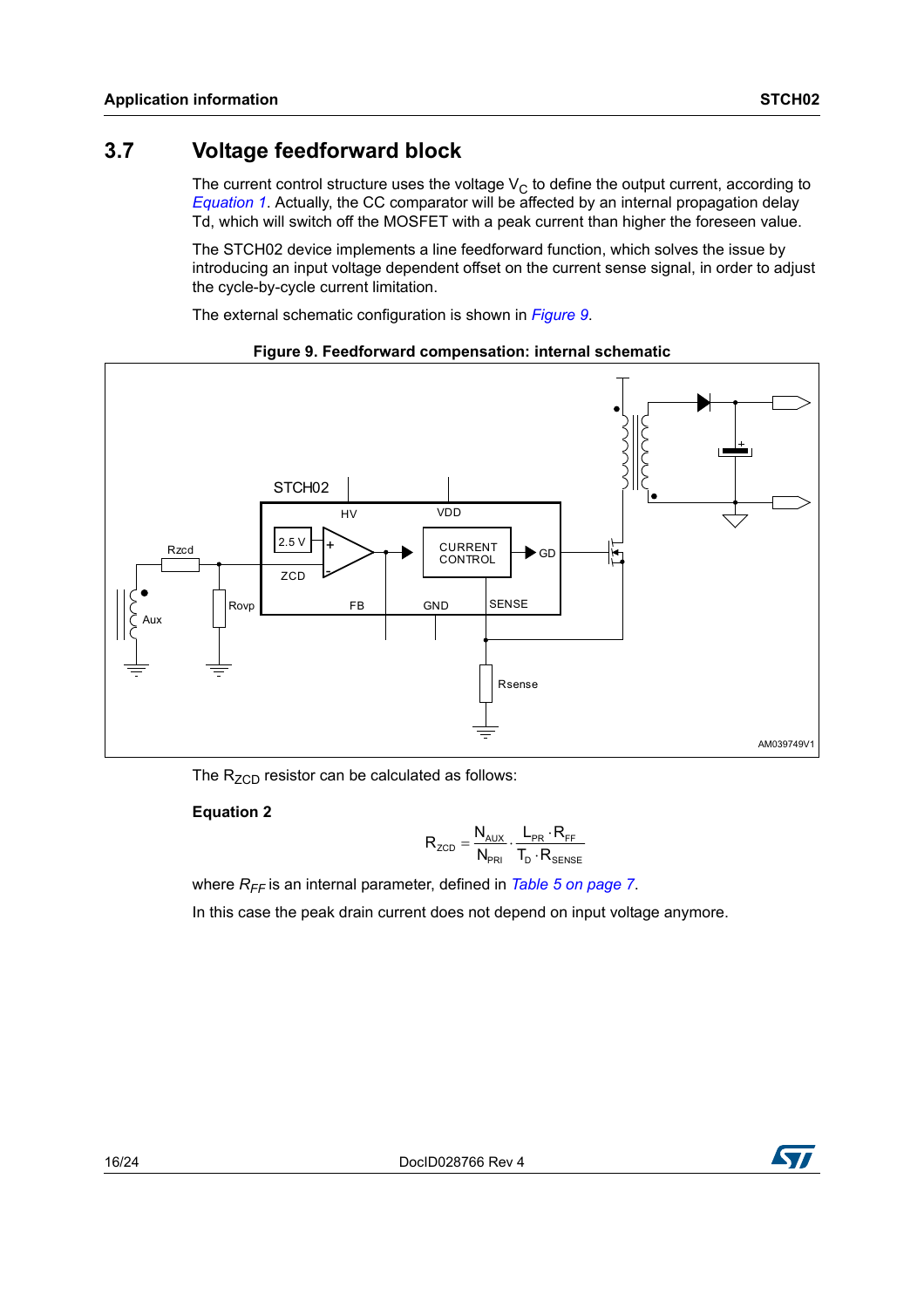## <span id="page-15-0"></span>**3.7 Voltage feedforward block**

The current control structure uses the voltage  $V<sub>C</sub>$  to define the output current, according to *[Equation 1](#page-14-2)*. Actually, the CC comparator will be affected by an internal propagation delay Td, which will switch off the MOSFET with a peak current than higher the foreseen value.

The STCH02 device implements a line feedforward function, which solves the issue by introducing an input voltage dependent offset on the current sense signal, in order to adjust the cycle-by-cycle current limitation.

The external schematic configuration is shown in *[Figure 9](#page-15-1)*.

<span id="page-15-1"></span>

#### **Figure 9. Feedforward compensation: internal schematic**

The  $R_{ZCD}$  resistor can be calculated as follows:

#### **Equation 2**

$$
R_{\text{ZCD}} = \frac{N_{\text{AUX}}}{N_{\text{PRI}}} \cdot \frac{L_{\text{PR}} \cdot R_{\text{FF}}}{T_{\text{D}} \cdot R_{\text{SENSE}}}
$$

where  $R_{FF}$  is an internal parameter, defined in *[Table 5 on page 7](#page-6-0)*.

In this case the peak drain current does not depend on input voltage anymore.

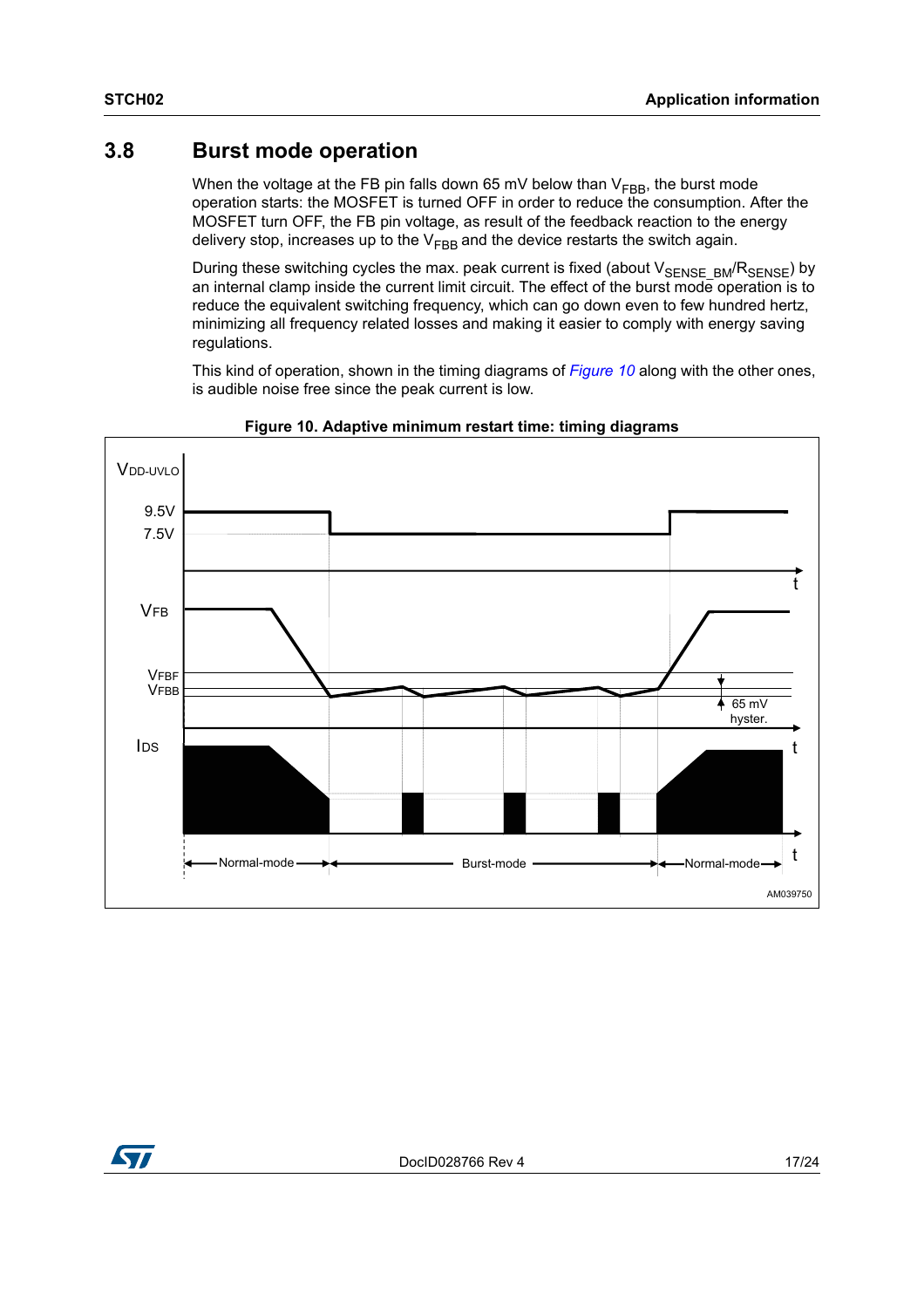### <span id="page-16-0"></span>**3.8 Burst mode operation**

When the voltage at the FB pin falls down 65 mV below than  $V_{FBB}$ , the burst mode operation starts: the MOSFET is turned OFF in order to reduce the consumption. After the MOSFET turn OFF, the FB pin voltage, as result of the feedback reaction to the energy delivery stop, increases up to the  $V_{FBB}$  and the device restarts the switch again.

During these switching cycles the max. peak current is fixed (about  $V_{\text{SENSE\_BM}}/R_{\text{SENSE}}$ ) by an internal clamp inside the current limit circuit. The effect of the burst mode operation is to reduce the equivalent switching frequency, which can go down even to few hundred hertz, minimizing all frequency related losses and making it easier to comply with energy saving regulations.

This kind of operation, shown in the timing diagrams of *[Figure 10](#page-16-1)* along with the other ones, is audible noise free since the peak current is low.

<span id="page-16-1"></span>

**Figure 10. Adaptive minimum restart time: timing diagrams**

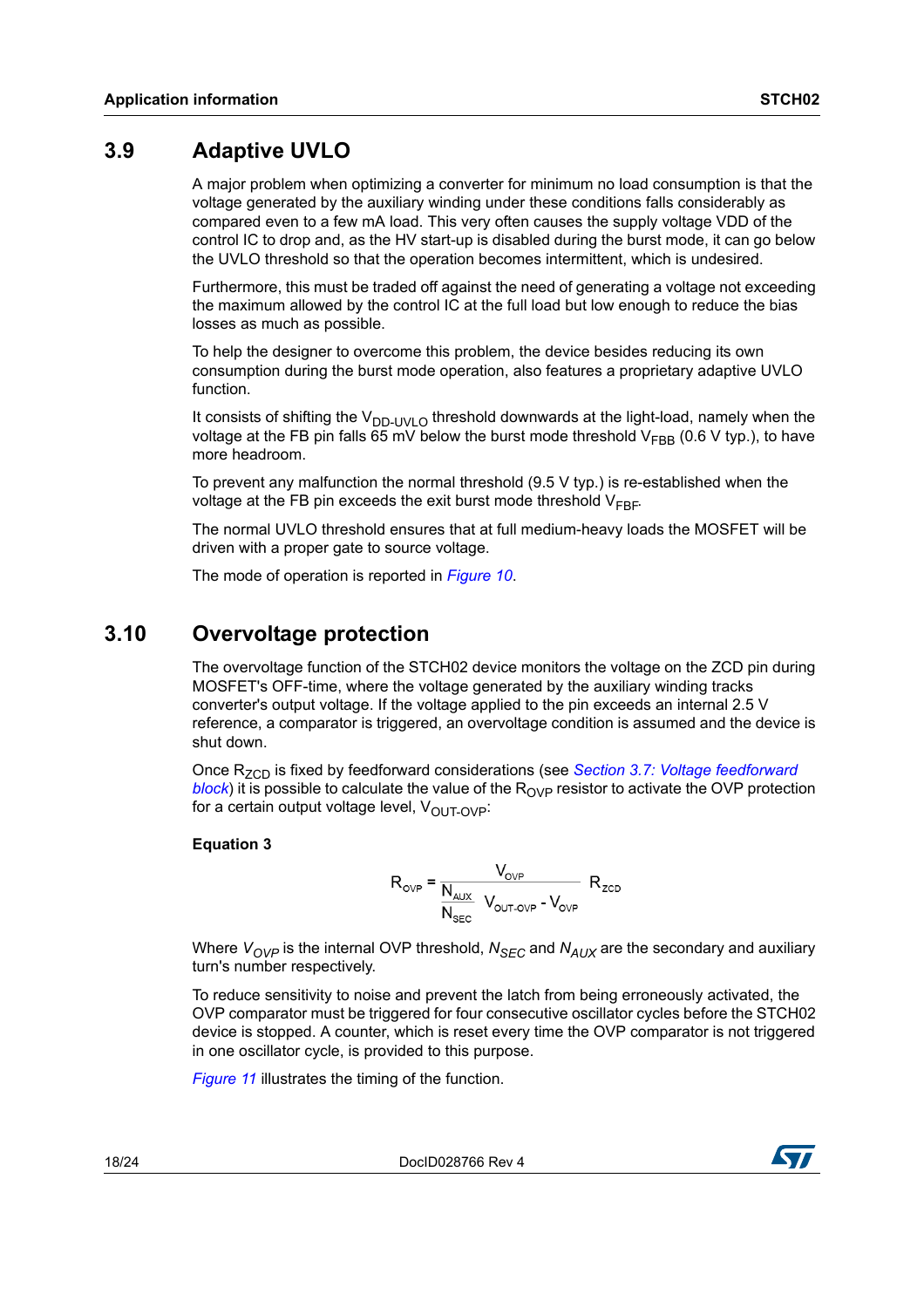## <span id="page-17-0"></span>**3.9 Adaptive UVLO**

A major problem when optimizing a converter for minimum no load consumption is that the voltage generated by the auxiliary winding under these conditions falls considerably as compared even to a few mA load. This very often causes the supply voltage VDD of the control IC to drop and, as the HV start-up is disabled during the burst mode, it can go below the UVLO threshold so that the operation becomes intermittent, which is undesired.

Furthermore, this must be traded off against the need of generating a voltage not exceeding the maximum allowed by the control IC at the full load but low enough to reduce the bias losses as much as possible.

To help the designer to overcome this problem, the device besides reducing its own consumption during the burst mode operation, also features a proprietary adaptive UVLO function.

It consists of shifting the  $V_{\text{DD-UVLO}}$  threshold downwards at the light-load, namely when the voltage at the FB pin falls 65 mV below the burst mode threshold  $V_{FBR}$  (0.6 V typ.), to have more headroom.

To prevent any malfunction the normal threshold  $(9.5 \vee$  typ.) is re-established when the voltage at the FB pin exceeds the exit burst mode threshold  $V_{FBF}$ .

The normal UVLO threshold ensures that at full medium-heavy loads the MOSFET will be driven with a proper gate to source voltage.

The mode of operation is reported in *[Figure 10](#page-16-1)*.

## <span id="page-17-1"></span>**3.10 Overvoltage protection**

The overvoltage function of the STCH02 device monitors the voltage on the ZCD pin during MOSFET's OFF-time, where the voltage generated by the auxiliary winding tracks converter's output voltage. If the voltage applied to the pin exceeds an internal 2.5 V reference, a comparator is triggered, an overvoltage condition is assumed and the device is shut down.

Once R<sub>7CD</sub> is fixed by feedforward considerations (see *Section 3.7: Voltage feedforward [block](#page-15-0)*) it is possible to calculate the value of the  $R_{OVP}$  resistor to activate the OVP protection for a certain output voltage level,  $V_{\text{OUT-OVP}}$ :

#### **Equation 3**

$$
R_{\text{OVP}} = \frac{V_{\text{OVP}}}{\frac{N_{\text{AUX}}}{N_{\text{SEC}}} \ V_{\text{OUT-OVP}} - V_{\text{OVP}}} R_{\text{ZCD}}
$$

Where  $V_{OVP}$  is the internal OVP threshold,  $N_{SEC}$  and  $N_{AUX}$  are the secondary and auxiliary turn's number respectively.

To reduce sensitivity to noise and prevent the latch from being erroneously activated, the OVP comparator must be triggered for four consecutive oscillator cycles before the STCH02 device is stopped. A counter, which is reset every time the OVP comparator is not triggered in one oscillator cycle, is provided to this purpose.

*[Figure 11](#page-18-2)* illustrates the timing of the function.

18/24 DocID028766 Rev 4

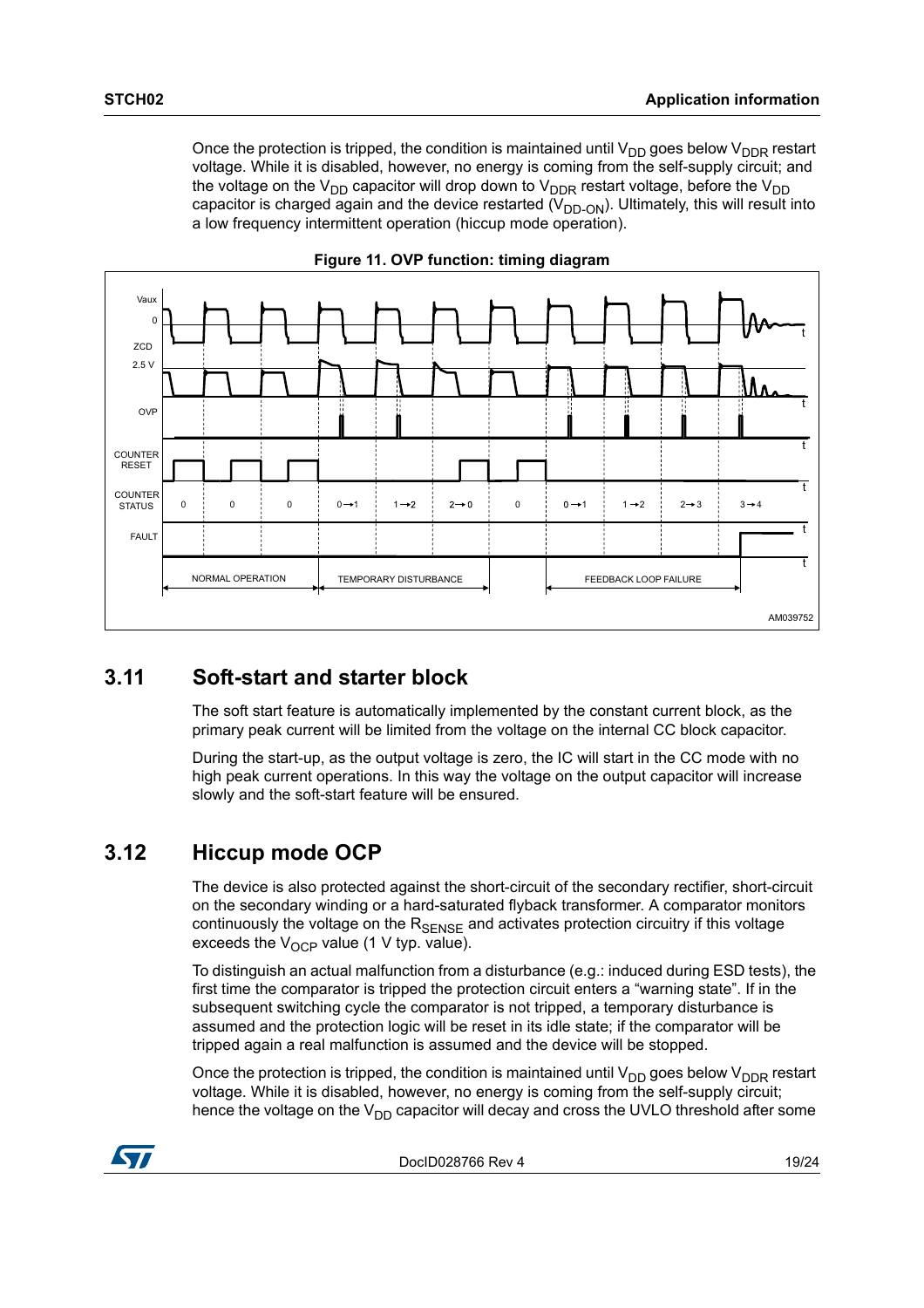Once the protection is tripped, the condition is maintained until  $V_{DD}$  goes below  $V_{DDR}$  restart voltage. While it is disabled, however, no energy is coming from the self-supply circuit; and the voltage on the  $V_{DD}$  capacitor will drop down to  $V_{DDR}$  restart voltage, before the  $V_{DD}$ capacitor is charged again and the device restarted  $(V_{DD,ON})$ . Ultimately, this will result into a low frequency intermittent operation (hiccup mode operation).

<span id="page-18-2"></span>

#### **Figure 11. OVP function: timing diagram**

### <span id="page-18-0"></span>**3.11 Soft-start and starter block**

The soft start feature is automatically implemented by the constant current block, as the primary peak current will be limited from the voltage on the internal CC block capacitor.

During the start-up, as the output voltage is zero, the IC will start in the CC mode with no high peak current operations. In this way the voltage on the output capacitor will increase slowly and the soft-start feature will be ensured.

## <span id="page-18-1"></span>**3.12 Hiccup mode OCP**

The device is also protected against the short-circuit of the secondary rectifier, short-circuit on the secondary winding or a hard-saturated flyback transformer. A comparator monitors continuously the voltage on the  $R_{\text{SENSE}}$  and activates protection circuitry if this voltage exceeds the  $V_{\Omega CP}$  value (1 V typ. value).

To distinguish an actual malfunction from a disturbance (e.g.: induced during ESD tests), the first time the comparator is tripped the protection circuit enters a "warning state". If in the subsequent switching cycle the comparator is not tripped, a temporary disturbance is assumed and the protection logic will be reset in its idle state; if the comparator will be tripped again a real malfunction is assumed and the device will be stopped.

Once the protection is tripped, the condition is maintained until  $V_{DD}$  goes below  $V_{DDR}$  restart voltage. While it is disabled, however, no energy is coming from the self-supply circuit; hence the voltage on the  $V_{DD}$  capacitor will decay and cross the UVLO threshold after some

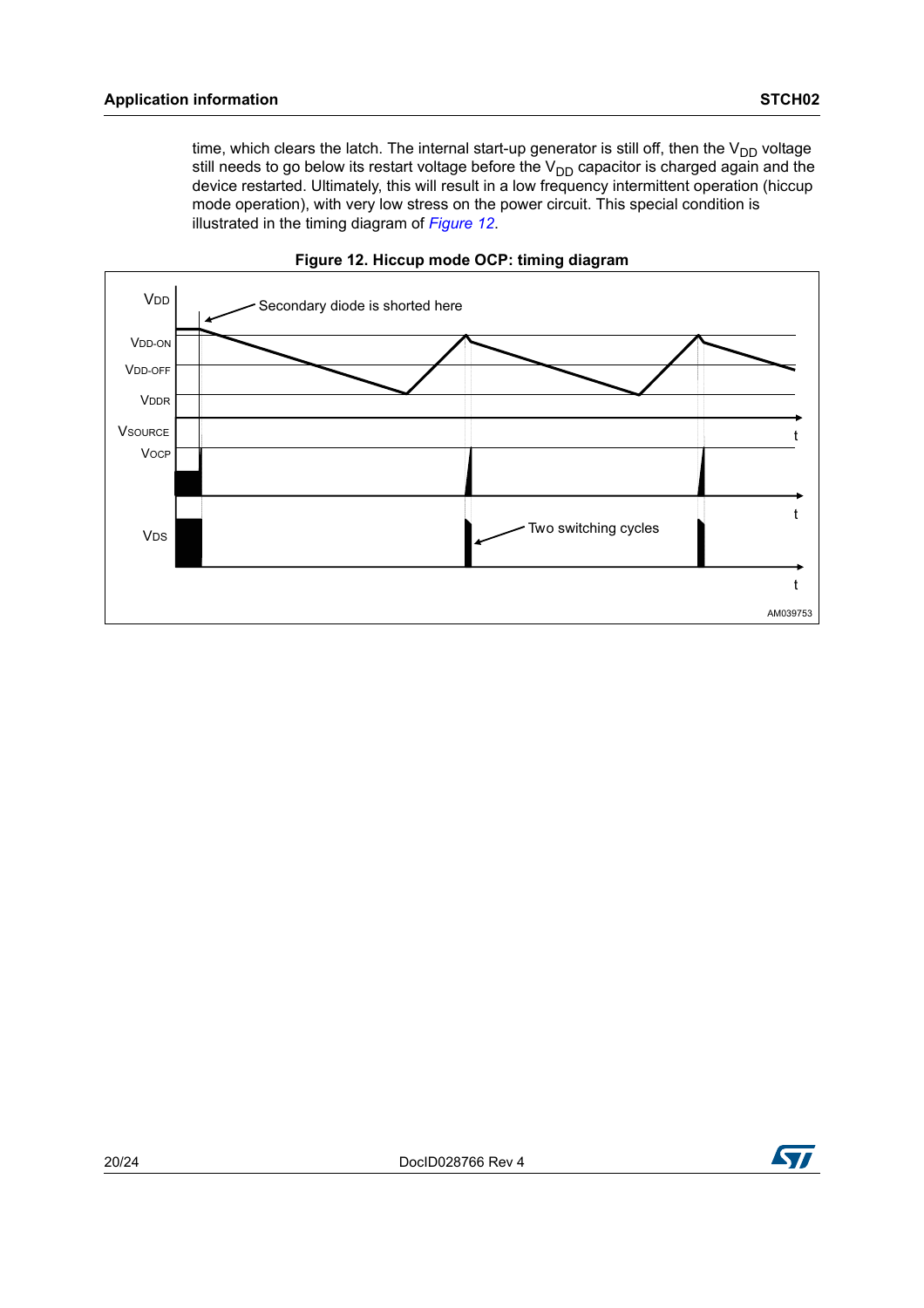time, which clears the latch. The internal start-up generator is still off, then the  $V_{DD}$  voltage still needs to go below its restart voltage before the  $V_{DD}$  capacitor is charged again and the device restarted. Ultimately, this will result in a low frequency intermittent operation (hiccup mode operation), with very low stress on the power circuit. This special condition is illustrated in the timing diagram of *[Figure 12](#page-19-0)*.

<span id="page-19-0"></span>



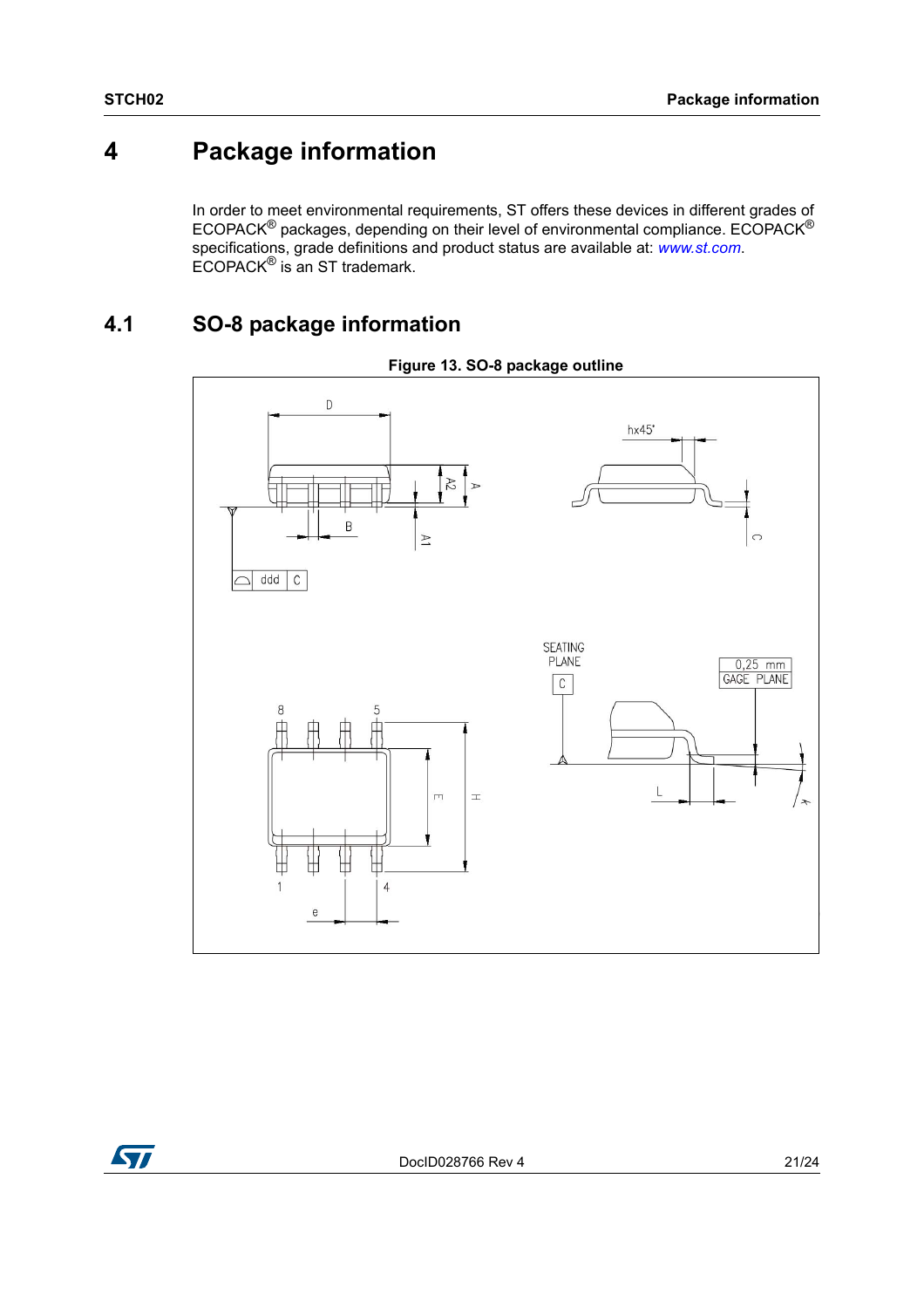# <span id="page-20-0"></span>**4 Package information**

In order to meet environmental requirements, ST offers these devices in different grades of ECOPACK® packages, depending on their level of environmental compliance. ECOPACK® specifications, grade definitions and product status are available at: *[www.st.com](http://www.st.com)*. ECOPACK® is an ST trademark.

## <span id="page-20-1"></span>**4.1 SO-8 package information**





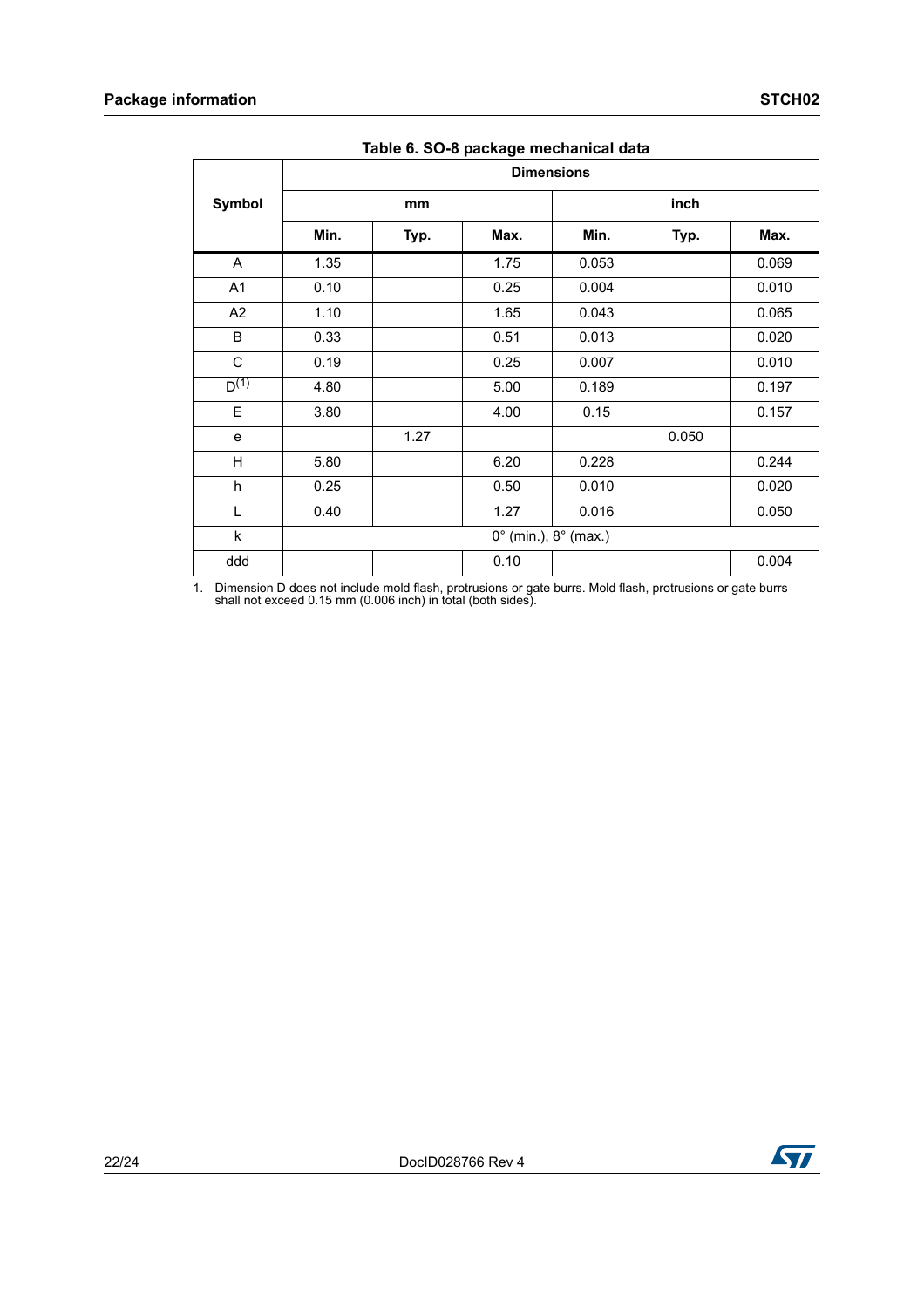|                | rapic of oo o package moonamour aala   |      |      |                   |       |       |
|----------------|----------------------------------------|------|------|-------------------|-------|-------|
|                |                                        |      |      | <b>Dimensions</b> |       |       |
| Symbol         |                                        | mm   |      |                   | inch  |       |
|                | Min.                                   | Typ. | Max. | Min.              | Typ.  | Max.  |
| A              | 1.35                                   |      | 1.75 | 0.053             |       | 0.069 |
| A1             | 0.10                                   |      | 0.25 | 0.004             |       | 0.010 |
| A <sub>2</sub> | 1.10                                   |      | 1.65 | 0.043             |       | 0.065 |
| B              | 0.33                                   |      | 0.51 | 0.013             |       | 0.020 |
| $\mathsf C$    | 0.19                                   |      | 0.25 | 0.007             |       | 0.010 |
| $D^{(1)}$      | 4.80                                   |      | 5.00 | 0.189             |       | 0.197 |
| E              | 3.80                                   |      | 4.00 | 0.15              |       | 0.157 |
| e              |                                        | 1.27 |      |                   | 0.050 |       |
| Н              | 5.80                                   |      | 6.20 | 0.228             |       | 0.244 |
| h              | 0.25                                   |      | 0.50 | 0.010             |       | 0.020 |
| L              | 0.40                                   |      | 1.27 | 0.016             |       | 0.050 |
| $\sf k$        | $0^{\circ}$ (min.), $8^{\circ}$ (max.) |      |      |                   |       |       |
| ddd            |                                        |      | 0.10 |                   |       | 0.004 |

**Table 6. SO-8 package mechanical data**

1. Dimension D does not include mold flash, protrusions or gate burrs. Mold flash, protrusions or gate burrs shall not exceed 0.15 mm (0.006 inch) in total (both sides).

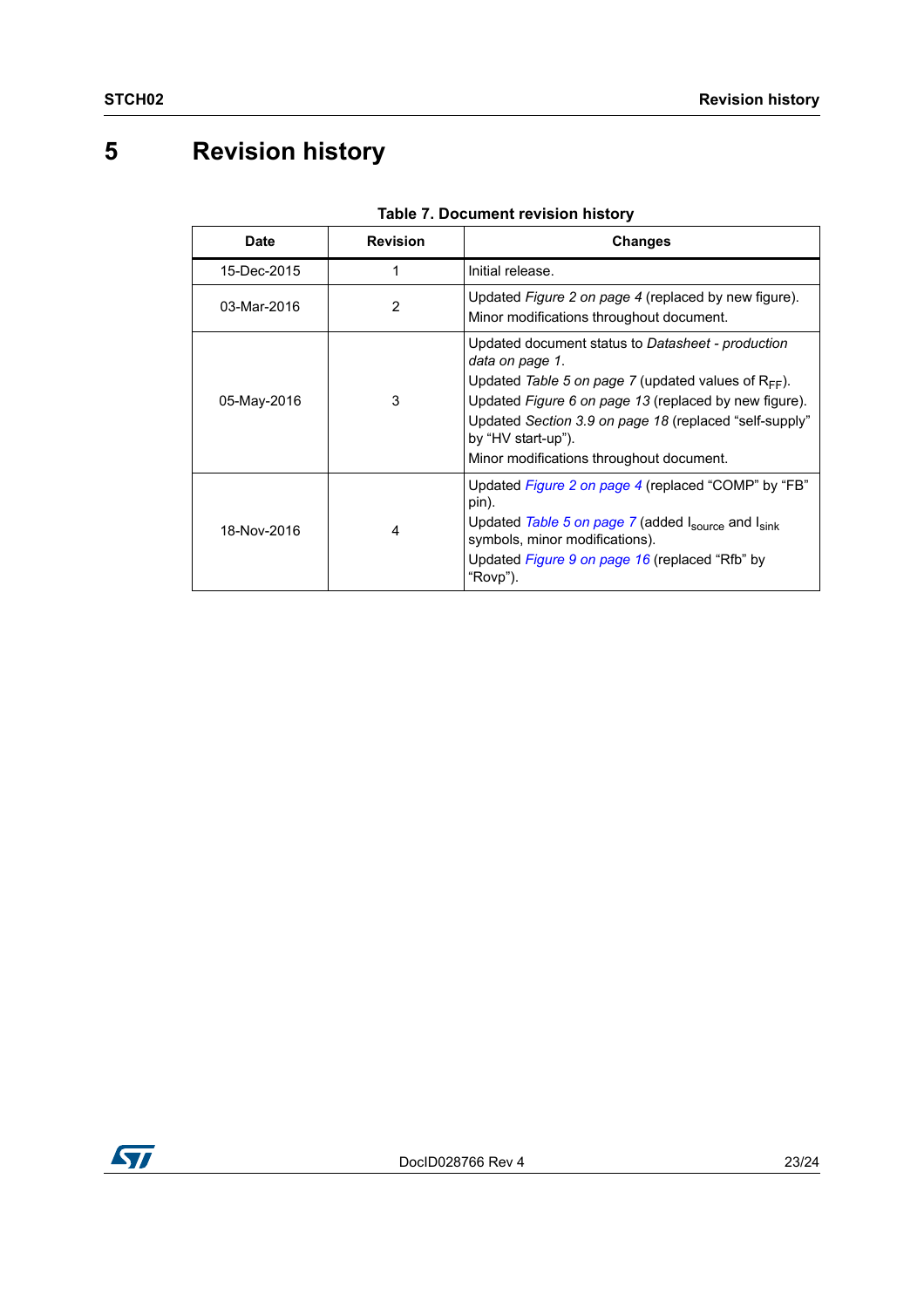# <span id="page-22-0"></span>**5 Revision history**

| Date        | <b>Revision</b> | <b>Changes</b>                                                                                                                                                                                                                                                                                                        |
|-------------|-----------------|-----------------------------------------------------------------------------------------------------------------------------------------------------------------------------------------------------------------------------------------------------------------------------------------------------------------------|
| 15-Dec-2015 |                 | Initial release.                                                                                                                                                                                                                                                                                                      |
| 03-Mar-2016 | 2               | Updated Figure 2 on page 4 (replaced by new figure).<br>Minor modifications throughout document.                                                                                                                                                                                                                      |
| 05-May-2016 | 3               | Updated document status to Datasheet - production<br>data on page 1.<br>Updated Table 5 on page 7 (updated values of $R_{FF}$ ).<br>Updated Figure 6 on page 13 (replaced by new figure).<br>Updated Section 3.9 on page 18 (replaced "self-supply"<br>by "HV start-up").<br>Minor modifications throughout document. |
| 18-Nov-2016 | 4               | Updated Figure 2 on page 4 (replaced "COMP" by "FB"<br>pin).<br>Updated Table 5 on page 7 (added Isource and Isink<br>symbols, minor modifications).<br>Updated Figure 9 on page 16 (replaced "Rfb" by<br>"Rovp").                                                                                                    |

#### **Table 7. Document revision history**